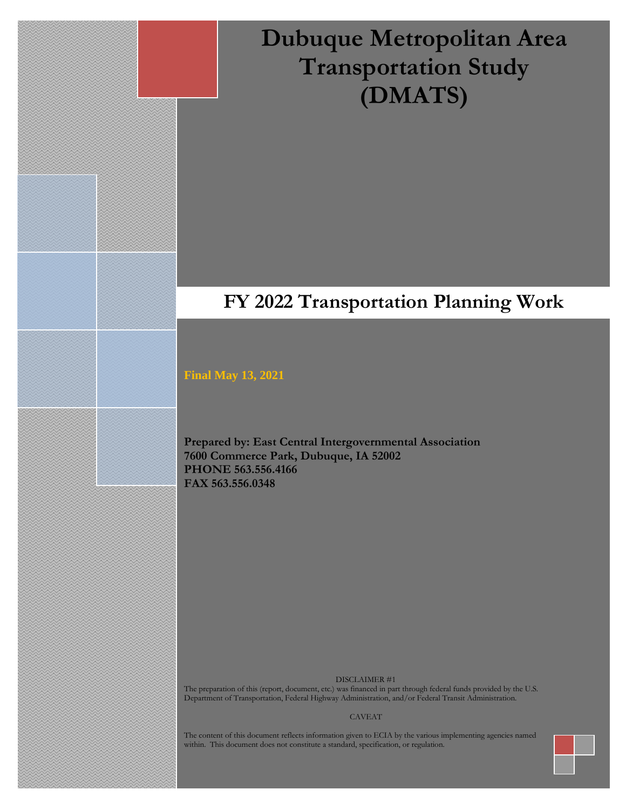# **Dubuque Metropolitan Area Transportation Study (DMATS)**

# **FY 2022 Transportation Planning Work**

**Program**

#### **Final May 13, 2021**

**Prepared by: East Central Intergovernmental Association 7600 Commerce Park, Dubuque, IA 52002 PHONE 563.556.4166 FAX 563.556.0348**

DISCLAIMER #1

The preparation of this (report, document, etc.) was financed in part through federal funds provided by the U.S. Department of Transportation, Federal Highway Administration, and/or Federal Transit Administration.

#### CAVEAT

The content of this document reflects information given to ECIA by the various implementing agencies named within. This document does not constitute a standard, specification, or regulation.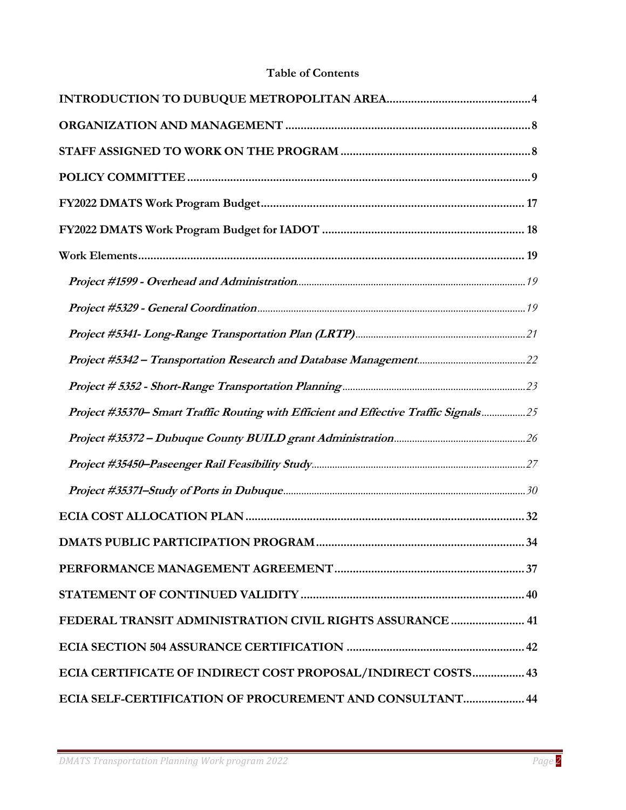# **Table of Contents**

| Project #35370- Smart Traffic Routing with Efficient and Effective Traffic Signals 25 |
|---------------------------------------------------------------------------------------|
|                                                                                       |
|                                                                                       |
|                                                                                       |
|                                                                                       |
|                                                                                       |
|                                                                                       |
|                                                                                       |
| FEDERAL TRANSIT ADMINISTRATION CIVIL RIGHTS ASSURANCE  41                             |
|                                                                                       |
| ECIA CERTIFICATE OF INDIRECT COST PROPOSAL/INDIRECT COSTS 43                          |
| ECIA SELF-CERTIFICATION OF PROCUREMENT AND CONSULTANT 44                              |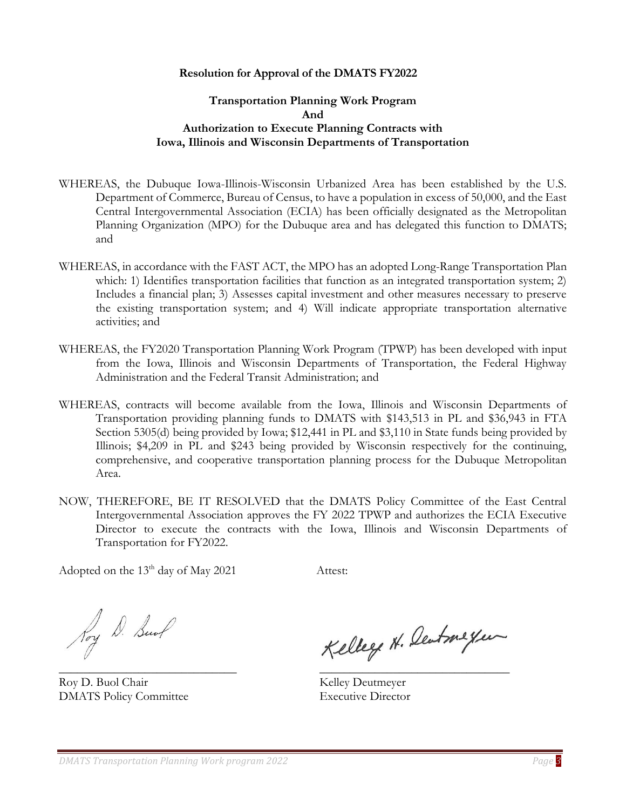#### **Resolution for Approval of the DMATS FY2022**

#### **Transportation Planning Work Program And Authorization to Execute Planning Contracts with Iowa, Illinois and Wisconsin Departments of Transportation**

- WHEREAS, the Dubuque Iowa-Illinois-Wisconsin Urbanized Area has been established by the U.S. Department of Commerce, Bureau of Census, to have a population in excess of 50,000, and the East Central Intergovernmental Association (ECIA) has been officially designated as the Metropolitan Planning Organization (MPO) for the Dubuque area and has delegated this function to DMATS; and
- WHEREAS, in accordance with the FAST ACT, the MPO has an adopted Long-Range Transportation Plan which: 1) Identifies transportation facilities that function as an integrated transportation system; 2) Includes a financial plan; 3) Assesses capital investment and other measures necessary to preserve the existing transportation system; and 4) Will indicate appropriate transportation alternative activities; and
- WHEREAS, the FY2020 Transportation Planning Work Program (TPWP) has been developed with input from the Iowa, Illinois and Wisconsin Departments of Transportation, the Federal Highway Administration and the Federal Transit Administration; and
- WHEREAS, contracts will become available from the Iowa, Illinois and Wisconsin Departments of Transportation providing planning funds to DMATS with \$143,513 in PL and \$36,943 in FTA Section 5305(d) being provided by Iowa; \$12,441 in PL and \$3,110 in State funds being provided by Illinois; \$4,209 in PL and \$243 being provided by Wisconsin respectively for the continuing, comprehensive, and cooperative transportation planning process for the Dubuque Metropolitan Area.
- NOW, THEREFORE, BE IT RESOLVED that the DMATS Policy Committee of the East Central Intergovernmental Association approves the FY 2022 TPWP and authorizes the ECIA Executive Director to execute the contracts with the Iowa, Illinois and Wisconsin Departments of Transportation for FY2022.

Adopted on the 13<sup>th</sup> day of May 2021 Attest:

Roy D. Bund

Roy D. Buol Chair Kelley Deutmeyer DMATS Policy Committee Executive Director

Kelley H. Deutmeyer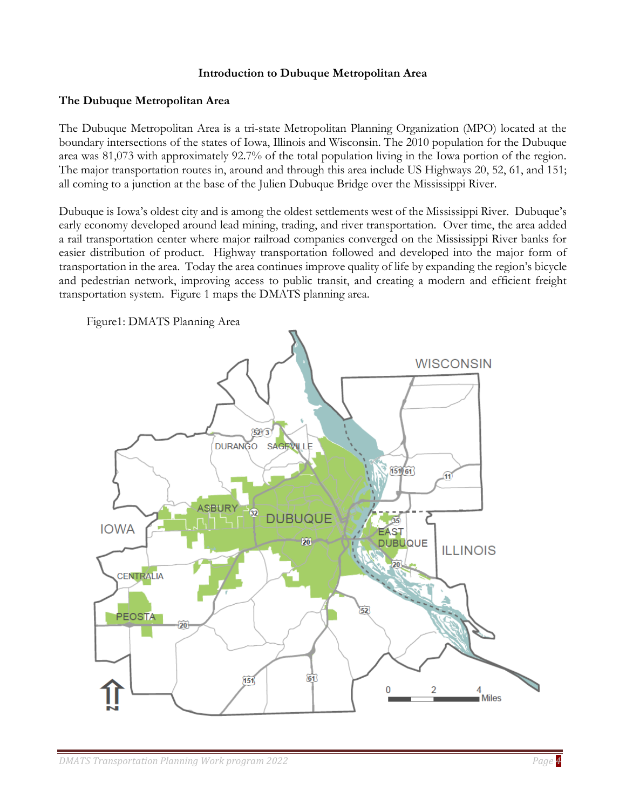#### **Introduction to Dubuque Metropolitan Area**

#### <span id="page-3-0"></span>**The Dubuque Metropolitan Area**

The Dubuque Metropolitan Area is a tri-state Metropolitan Planning Organization (MPO) located at the boundary intersections of the states of Iowa, Illinois and Wisconsin. The 2010 population for the Dubuque area was 81,073 with approximately 92.7% of the total population living in the Iowa portion of the region. The major transportation routes in, around and through this area include US Highways 20, 52, 61, and 151; all coming to a junction at the base of the Julien Dubuque Bridge over the Mississippi River.

Dubuque is Iowa's oldest city and is among the oldest settlements west of the Mississippi River. Dubuque's early economy developed around lead mining, trading, and river transportation. Over time, the area added a rail transportation center where major railroad companies converged on the Mississippi River banks for easier distribution of product. Highway transportation followed and developed into the major form of transportation in the area. Today the area continues improve quality of life by expanding the region's bicycle and pedestrian network, improving access to public transit, and creating a modern and efficient freight transportation system. Figure 1 maps the DMATS planning area.

Figure1: DMATS Planning Area

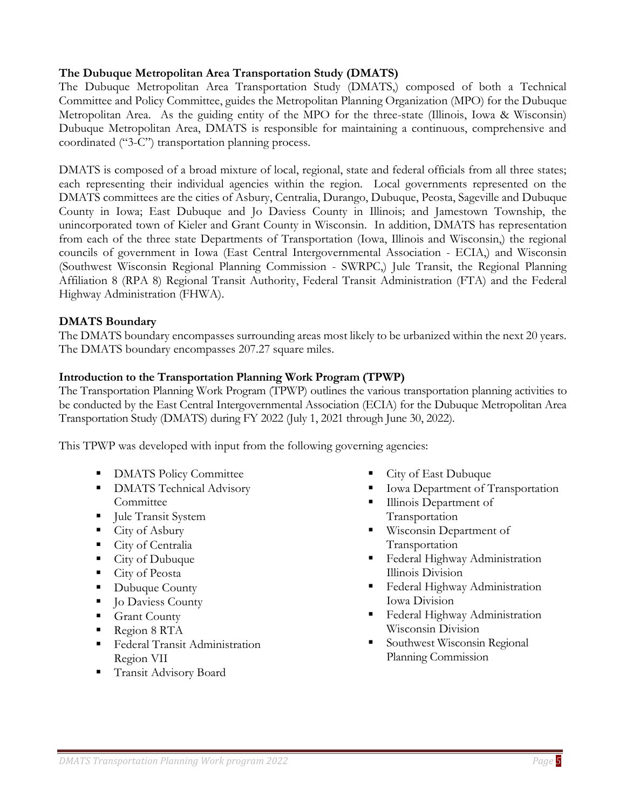# **The Dubuque Metropolitan Area Transportation Study (DMATS)**

The Dubuque Metropolitan Area Transportation Study (DMATS,) composed of both a Technical Committee and Policy Committee, guides the Metropolitan Planning Organization (MPO) for the Dubuque Metropolitan Area. As the guiding entity of the MPO for the three-state (Illinois, Iowa & Wisconsin) Dubuque Metropolitan Area, DMATS is responsible for maintaining a continuous, comprehensive and coordinated ("3-C") transportation planning process.

DMATS is composed of a broad mixture of local, regional, state and federal officials from all three states; each representing their individual agencies within the region. Local governments represented on the DMATS committees are the cities of Asbury, Centralia, Durango, Dubuque, Peosta, Sageville and Dubuque County in Iowa; East Dubuque and Jo Daviess County in Illinois; and Jamestown Township, the unincorporated town of Kieler and Grant County in Wisconsin. In addition, DMATS has representation from each of the three state Departments of Transportation (Iowa, Illinois and Wisconsin,) the regional councils of government in Iowa (East Central Intergovernmental Association - ECIA,) and Wisconsin (Southwest Wisconsin Regional Planning Commission - SWRPC,) Jule Transit, the Regional Planning Affiliation 8 (RPA 8) Regional Transit Authority, Federal Transit Administration (FTA) and the Federal Highway Administration (FHWA).

#### **DMATS Boundary**

The DMATS boundary encompasses surrounding areas most likely to be urbanized within the next 20 years. The DMATS boundary encompasses 207.27 square miles.

#### **Introduction to the Transportation Planning Work Program (TPWP)**

The Transportation Planning Work Program (TPWP) outlines the various transportation planning activities to be conducted by the East Central Intergovernmental Association (ECIA) for the Dubuque Metropolitan Area Transportation Study (DMATS) during FY 2022 (July 1, 2021 through June 30, 2022).

This TPWP was developed with input from the following governing agencies:

- **DMATS Policy Committee**
- **DMATS Technical Advisory Committee**
- Jule Transit System
- $\blacksquare$  City of Asbury
- City of Centralia
- City of Dubuque
- City of Peosta
- Dubuque County
- **•** Jo Daviess County
- **Grant County**
- Region 8 RTA
- **Executed Transit Administration** Region VII
- Transit Advisory Board
- City of East Dubuque
- Iowa Department of Transportation
- Illinois Department of Transportation
- Wisconsin Department of Transportation
- **Federal Highway Administration** Illinois Division
- **Executed Highway Administration** Iowa Division
- **Federal Highway Administration** Wisconsin Division
- Southwest Wisconsin Regional Planning Commission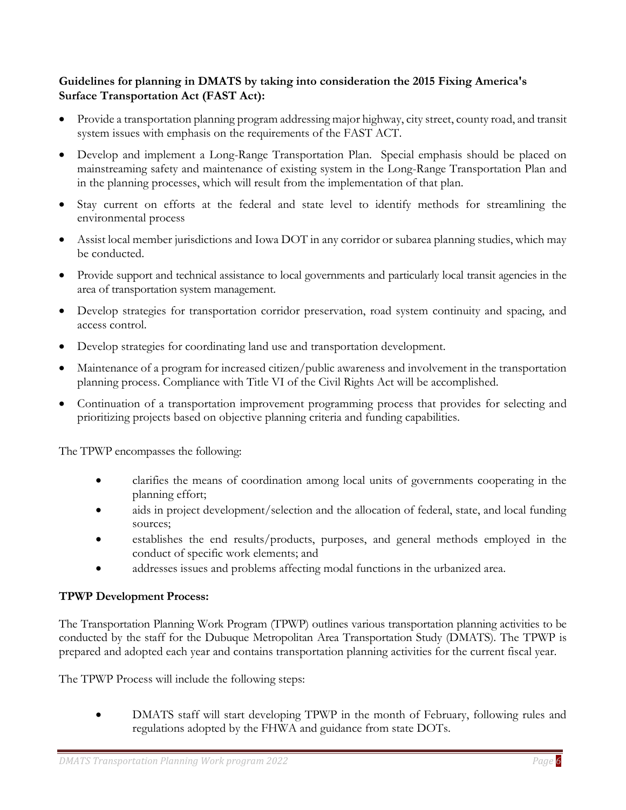# **Guidelines for planning in DMATS by taking into consideration the 2015 Fixing America's Surface Transportation Act (FAST Act):**

- Provide a transportation planning program addressing major highway, city street, county road, and transit system issues with emphasis on the requirements of the FAST ACT.
- Develop and implement a Long-Range Transportation Plan. Special emphasis should be placed on mainstreaming safety and maintenance of existing system in the Long-Range Transportation Plan and in the planning processes, which will result from the implementation of that plan.
- Stay current on efforts at the federal and state level to identify methods for streamlining the environmental process
- Assist local member jurisdictions and Iowa DOT in any corridor or subarea planning studies, which may be conducted.
- Provide support and technical assistance to local governments and particularly local transit agencies in the area of transportation system management.
- Develop strategies for transportation corridor preservation, road system continuity and spacing, and access control.
- Develop strategies for coordinating land use and transportation development.
- Maintenance of a program for increased citizen/public awareness and involvement in the transportation planning process. Compliance with Title VI of the Civil Rights Act will be accomplished.
- Continuation of a transportation improvement programming process that provides for selecting and prioritizing projects based on objective planning criteria and funding capabilities.

The TPWP encompasses the following:

- clarifies the means of coordination among local units of governments cooperating in the planning effort;
- aids in project development/selection and the allocation of federal, state, and local funding sources;
- establishes the end results/products, purposes, and general methods employed in the conduct of specific work elements; and
- addresses issues and problems affecting modal functions in the urbanized area.

# **TPWP Development Process:**

The Transportation Planning Work Program (TPWP) outlines various transportation planning activities to be conducted by the staff for the Dubuque Metropolitan Area Transportation Study (DMATS). The TPWP is prepared and adopted each year and contains transportation planning activities for the current fiscal year.

The TPWP Process will include the following steps:

• DMATS staff will start developing TPWP in the month of February, following rules and regulations adopted by the FHWA and guidance from state DOTs.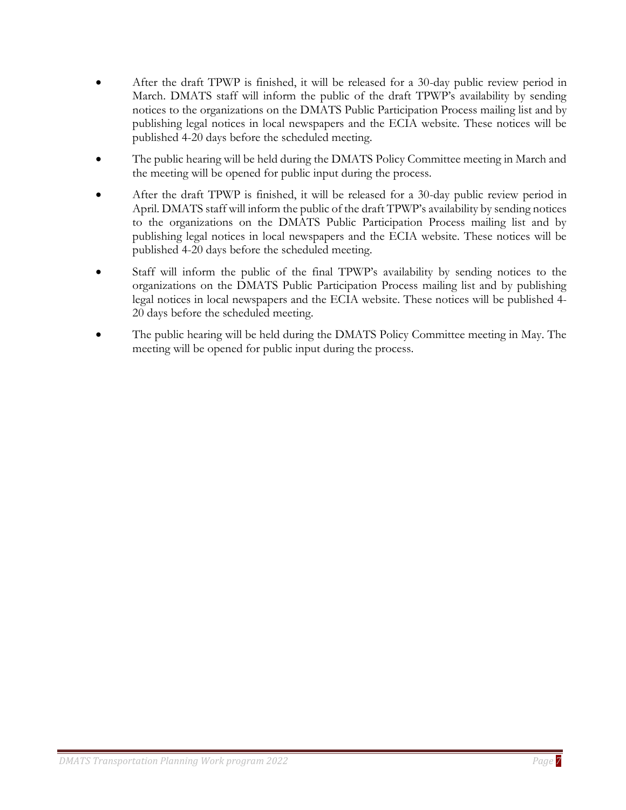- After the draft TPWP is finished, it will be released for a 30-day public review period in March. DMATS staff will inform the public of the draft TPWP's availability by sending notices to the organizations on the DMATS Public Participation Process mailing list and by publishing legal notices in local newspapers and the ECIA website. These notices will be published 4-20 days before the scheduled meeting.
- The public hearing will be held during the DMATS Policy Committee meeting in March and the meeting will be opened for public input during the process.
- After the draft TPWP is finished, it will be released for a 30-day public review period in April. DMATS staff will inform the public of the draft TPWP's availability by sending notices to the organizations on the DMATS Public Participation Process mailing list and by publishing legal notices in local newspapers and the ECIA website. These notices will be published 4-20 days before the scheduled meeting.
- Staff will inform the public of the final TPWP's availability by sending notices to the organizations on the DMATS Public Participation Process mailing list and by publishing legal notices in local newspapers and the ECIA website. These notices will be published 4- 20 days before the scheduled meeting.
- The public hearing will be held during the DMATS Policy Committee meeting in May. The meeting will be opened for public input during the process.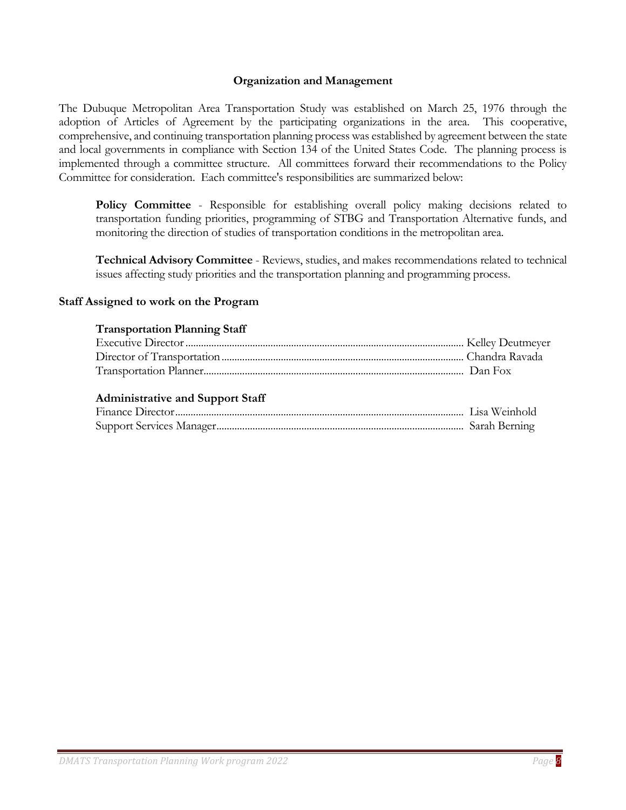#### **Organization and Management**

<span id="page-7-0"></span>The Dubuque Metropolitan Area Transportation Study was established on March 25, 1976 through the adoption of Articles of Agreement by the participating organizations in the area. This cooperative, comprehensive, and continuing transportation planning process was established by agreement between the state and local governments in compliance with Section 134 of the United States Code. The planning process is implemented through a committee structure. All committees forward their recommendations to the Policy Committee for consideration. Each committee's responsibilities are summarized below:

Policy Committee - Responsible for establishing overall policy making decisions related to transportation funding priorities, programming of STBG and Transportation Alternative funds, and monitoring the direction of studies of transportation conditions in the metropolitan area.

**Technical Advisory Committee** - Reviews, studies, and makes recommendations related to technical issues affecting study priorities and the transportation planning and programming process.

#### <span id="page-7-1"></span>**Staff Assigned to work on the Program**

#### **Transportation Planning Staff**

#### **Administrative and Support Staff**

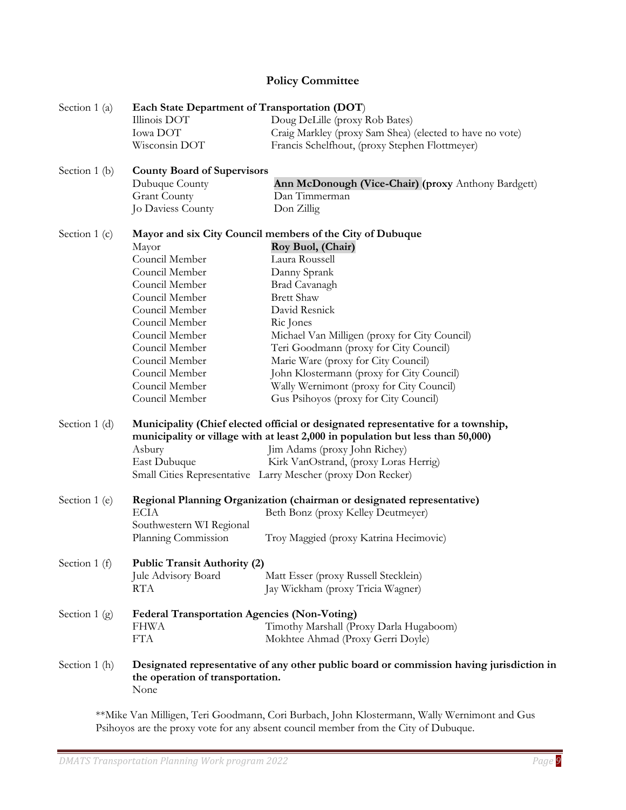# **Policy Committee**

<span id="page-8-0"></span>

| Section 1 (a)  | Each State Department of Transportation (DOT)       |                                                                                                                                                                      |
|----------------|-----------------------------------------------------|----------------------------------------------------------------------------------------------------------------------------------------------------------------------|
|                | Illinois DOT                                        | Doug DeLille (proxy Rob Bates)                                                                                                                                       |
|                | Iowa DOT                                            | Craig Markley (proxy Sam Shea) (elected to have no vote)                                                                                                             |
|                | Wisconsin DOT                                       | Francis Schelfhout, (proxy Stephen Flottmeyer)                                                                                                                       |
| Section 1 (b)  | <b>County Board of Supervisors</b>                  |                                                                                                                                                                      |
|                | Dubuque County                                      | Ann McDonough (Vice-Chair) (proxy Anthony Bardgett)                                                                                                                  |
|                | <b>Grant County</b>                                 | Dan Timmerman                                                                                                                                                        |
|                | Jo Daviess County                                   | Don Zillig                                                                                                                                                           |
| Section $1(c)$ |                                                     | Mayor and six City Council members of the City of Dubuque                                                                                                            |
|                | Mayor                                               | Roy Buol, (Chair)                                                                                                                                                    |
|                | Council Member                                      | Laura Roussell                                                                                                                                                       |
|                | Council Member                                      | Danny Sprank                                                                                                                                                         |
|                | Council Member                                      | Brad Cavanagh                                                                                                                                                        |
|                | Council Member                                      | <b>Brett Shaw</b>                                                                                                                                                    |
|                | Council Member                                      | David Resnick                                                                                                                                                        |
|                | Council Member                                      | Ric Jones                                                                                                                                                            |
|                | Council Member                                      | Michael Van Milligen (proxy for City Council)                                                                                                                        |
|                | Council Member                                      | Teri Goodmann (proxy for City Council)                                                                                                                               |
|                | Council Member                                      | Marie Ware (proxy for City Council)                                                                                                                                  |
|                | Council Member                                      | John Klostermann (proxy for City Council)                                                                                                                            |
|                | Council Member                                      | Wally Wernimont (proxy for City Council)                                                                                                                             |
|                | Council Member                                      | Gus Psihoyos (proxy for City Council)                                                                                                                                |
| Section 1 (d)  |                                                     | Municipality (Chief elected official or designated representative for a township,<br>municipality or village with at least 2,000 in population but less than 50,000) |
|                | Asbury                                              | Jim Adams (proxy John Richey)                                                                                                                                        |
|                | East Dubuque                                        | Kirk VanOstrand, (proxy Loras Herrig)                                                                                                                                |
|                |                                                     | Small Cities Representative Larry Mescher (proxy Don Recker)                                                                                                         |
| Section 1 (e)  |                                                     | Regional Planning Organization (chairman or designated representative)                                                                                               |
|                | <b>ECIA</b>                                         | Beth Bonz (proxy Kelley Deutmeyer)                                                                                                                                   |
|                | Southwestern WI Regional                            |                                                                                                                                                                      |
|                | Planning Commission                                 | Troy Maggied (proxy Katrina Hecimovic)                                                                                                                               |
| Section 1 (f)  | <b>Public Transit Authority (2)</b>                 |                                                                                                                                                                      |
|                | Jule Advisory Board                                 | Matt Esser (proxy Russell Stecklein)                                                                                                                                 |
|                | <b>RTA</b>                                          | Jay Wickham (proxy Tricia Wagner)                                                                                                                                    |
| Section $1(g)$ | <b>Federal Transportation Agencies (Non-Voting)</b> |                                                                                                                                                                      |
|                | <b>FHWA</b>                                         | Timothy Marshall (Proxy Darla Hugaboom)                                                                                                                              |
|                | <b>FTA</b>                                          | Mokhtee Ahmad (Proxy Gerri Doyle)                                                                                                                                    |
| Section 1 (h)  | the operation of transportation.<br>None            | Designated representative of any other public board or commission having jurisdiction in                                                                             |
|                |                                                     |                                                                                                                                                                      |

\*\*Mike Van Milligen, Teri Goodmann, Cori Burbach, John Klostermann, Wally Wernimont and Gus Psihoyos are the proxy vote for any absent council member from the City of Dubuque.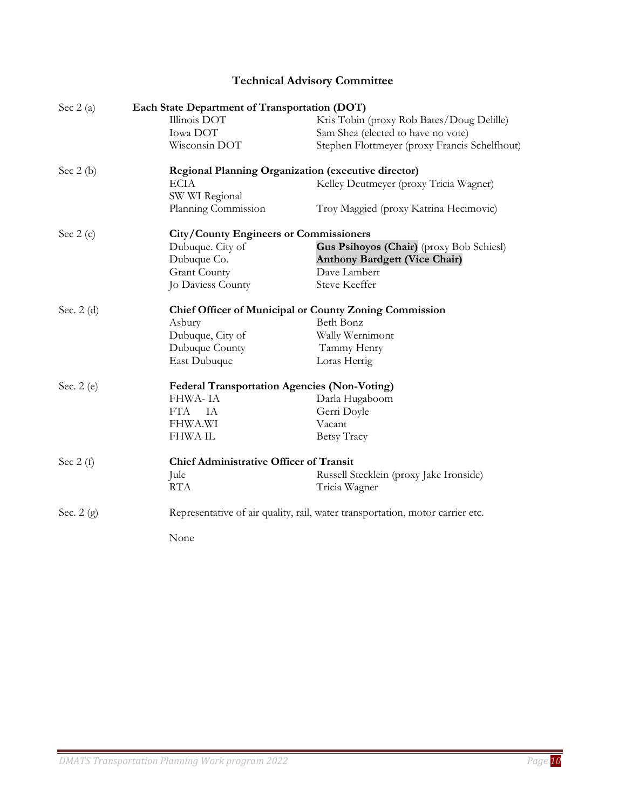# **Technical Advisory Committee**

| Sec $2(a)$  | Each State Department of Transportation (DOT)       |                                                                               |
|-------------|-----------------------------------------------------|-------------------------------------------------------------------------------|
|             | Illinois DOT                                        | Kris Tobin (proxy Rob Bates/Doug Delille)                                     |
|             | Iowa DOT                                            | Sam Shea (elected to have no vote)                                            |
|             | Wisconsin DOT                                       | Stephen Flottmeyer (proxy Francis Schelfhout)                                 |
| Sec $2(b)$  |                                                     | <b>Regional Planning Organization (executive director)</b>                    |
|             | <b>ECIA</b>                                         | Kelley Deutmeyer (proxy Tricia Wagner)                                        |
|             | SW WI Regional                                      |                                                                               |
|             | Planning Commission                                 | Troy Maggied (proxy Katrina Hecimovic)                                        |
| Sec $2(c)$  | <b>City/County Engineers or Commissioners</b>       |                                                                               |
|             | Dubuque. City of                                    | Gus Psihoyos (Chair) (proxy Bob Schiesl)                                      |
|             | Dubuque Co.                                         | <b>Anthony Bardgett (Vice Chair)</b>                                          |
|             | <b>Grant County</b>                                 | Dave Lambert                                                                  |
|             | Jo Daviess County                                   | <b>Steve Keeffer</b>                                                          |
| Sec. $2(d)$ |                                                     | <b>Chief Officer of Municipal or County Zoning Commission</b>                 |
|             | Asbury                                              | Beth Bonz                                                                     |
|             | Dubuque, City of                                    | Wally Wernimont                                                               |
|             | Dubuque County                                      | Tammy Henry                                                                   |
|             | East Dubuque                                        | Loras Herrig                                                                  |
| Sec. 2 (e)  | <b>Federal Transportation Agencies (Non-Voting)</b> |                                                                               |
|             | FHWA-IA                                             | Darla Hugaboom                                                                |
|             | <b>FTA</b><br>IA                                    | Gerri Doyle                                                                   |
|             | <b>FHWA.WI</b>                                      | Vacant                                                                        |
|             | <b>FHWAIL</b>                                       | Betsy Tracy                                                                   |
| Sec $2(f)$  | <b>Chief Administrative Officer of Transit</b>      |                                                                               |
|             | Jule                                                | Russell Stecklein (proxy Jake Ironside)                                       |
|             | <b>RTA</b>                                          | Tricia Wagner                                                                 |
| Sec. $2(g)$ |                                                     | Representative of air quality, rail, water transportation, motor carrier etc. |
|             | None                                                |                                                                               |
|             |                                                     |                                                                               |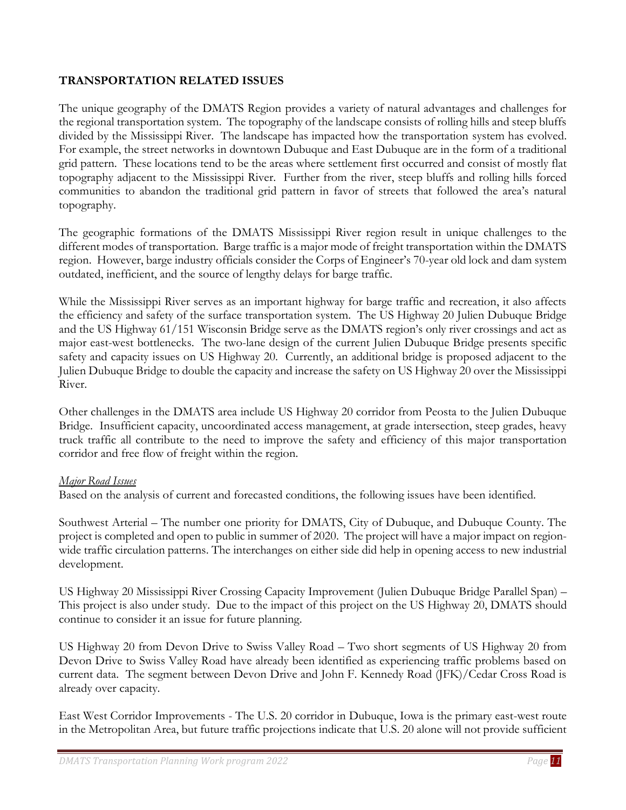# **TRANSPORTATION RELATED ISSUES**

The unique geography of the DMATS Region provides a variety of natural advantages and challenges for the regional transportation system. The topography of the landscape consists of rolling hills and steep bluffs divided by the Mississippi River. The landscape has impacted how the transportation system has evolved. For example, the street networks in downtown Dubuque and East Dubuque are in the form of a traditional grid pattern. These locations tend to be the areas where settlement first occurred and consist of mostly flat topography adjacent to the Mississippi River. Further from the river, steep bluffs and rolling hills forced communities to abandon the traditional grid pattern in favor of streets that followed the area's natural topography.

The geographic formations of the DMATS Mississippi River region result in unique challenges to the different modes of transportation. Barge traffic is a major mode of freight transportation within the DMATS region. However, barge industry officials consider the Corps of Engineer's 70-year old lock and dam system outdated, inefficient, and the source of lengthy delays for barge traffic.

While the Mississippi River serves as an important highway for barge traffic and recreation, it also affects the efficiency and safety of the surface transportation system. The US Highway 20 Julien Dubuque Bridge and the US Highway 61/151 Wisconsin Bridge serve as the DMATS region's only river crossings and act as major east-west bottlenecks. The two-lane design of the current Julien Dubuque Bridge presents specific safety and capacity issues on US Highway 20. Currently, an additional bridge is proposed adjacent to the Julien Dubuque Bridge to double the capacity and increase the safety on US Highway 20 over the Mississippi River.

Other challenges in the DMATS area include US Highway 20 corridor from Peosta to the Julien Dubuque Bridge. Insufficient capacity, uncoordinated access management, at grade intersection, steep grades, heavy truck traffic all contribute to the need to improve the safety and efficiency of this major transportation corridor and free flow of freight within the region.

#### *Major Road Issues*

Based on the analysis of current and forecasted conditions, the following issues have been identified.

Southwest Arterial – The number one priority for DMATS, City of Dubuque, and Dubuque County. The project is completed and open to public in summer of 2020. The project will have a major impact on regionwide traffic circulation patterns. The interchanges on either side did help in opening access to new industrial development.

US Highway 20 Mississippi River Crossing Capacity Improvement (Julien Dubuque Bridge Parallel Span) – This project is also under study. Due to the impact of this project on the US Highway 20, DMATS should continue to consider it an issue for future planning.

US Highway 20 from Devon Drive to Swiss Valley Road – Two short segments of US Highway 20 from Devon Drive to Swiss Valley Road have already been identified as experiencing traffic problems based on current data. The segment between Devon Drive and John F. Kennedy Road (JFK)/Cedar Cross Road is already over capacity.

East West Corridor Improvements - The U.S. 20 corridor in Dubuque, Iowa is the primary east-west route in the Metropolitan Area, but future traffic projections indicate that U.S. 20 alone will not provide sufficient

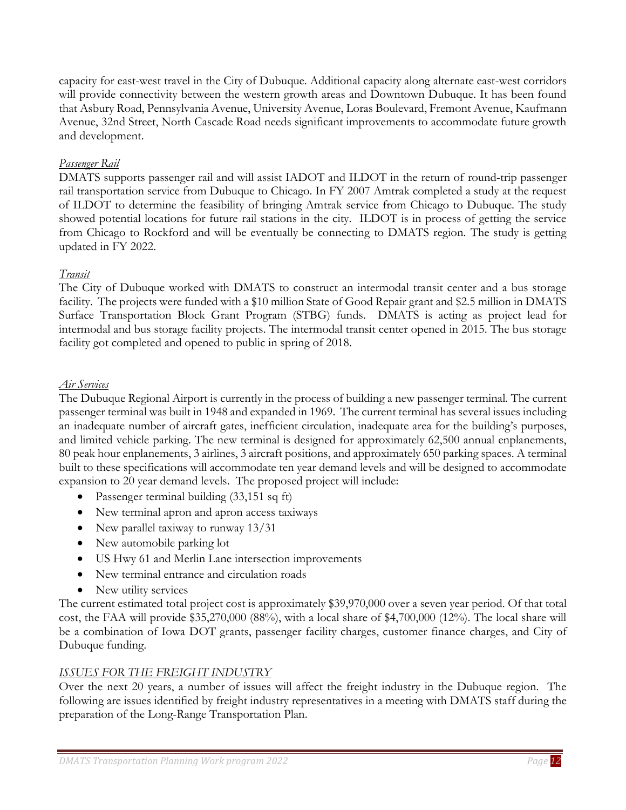capacity for east-west travel in the City of Dubuque. Additional capacity along alternate east-west corridors will provide connectivity between the western growth areas and Downtown Dubuque. It has been found that Asbury Road, Pennsylvania Avenue, University Avenue, Loras Boulevard, Fremont Avenue, Kaufmann Avenue, 32nd Street, North Cascade Road needs significant improvements to accommodate future growth and development.

# *Passenger Rail*

DMATS supports passenger rail and will assist IADOT and ILDOT in the return of round-trip passenger rail transportation service from Dubuque to Chicago. In FY 2007 Amtrak completed a study at the request of ILDOT to determine the feasibility of bringing Amtrak service from Chicago to Dubuque. The study showed potential locations for future rail stations in the city. ILDOT is in process of getting the service from Chicago to Rockford and will be eventually be connecting to DMATS region. The study is getting updated in FY 2022.

# *Transit*

The City of Dubuque worked with DMATS to construct an intermodal transit center and a bus storage facility. The projects were funded with a \$10 million State of Good Repair grant and \$2.5 million in DMATS Surface Transportation Block Grant Program (STBG) funds. DMATS is acting as project lead for intermodal and bus storage facility projects. The intermodal transit center opened in 2015. The bus storage facility got completed and opened to public in spring of 2018.

# *Air Services*

The Dubuque Regional Airport is currently in the process of building a new passenger terminal. The current passenger terminal was built in 1948 and expanded in 1969. The current terminal has several issues including an inadequate number of aircraft gates, inefficient circulation, inadequate area for the building's purposes, and limited vehicle parking. The new terminal is designed for approximately 62,500 annual enplanements, 80 peak hour enplanements, 3 airlines, 3 aircraft positions, and approximately 650 parking spaces. A terminal built to these specifications will accommodate ten year demand levels and will be designed to accommodate expansion to 20 year demand levels. The proposed project will include:

- Passenger terminal building (33,151 sq ft)
- New terminal apron and apron access taxiways
- New parallel taxiway to runway 13/31
- New automobile parking lot
- US Hwy 61 and Merlin Lane intersection improvements
- New terminal entrance and circulation roads
- New utility services

The current estimated total project cost is approximately \$39,970,000 over a seven year period. Of that total cost, the FAA will provide \$35,270,000 (88%), with a local share of \$4,700,000 (12%). The local share will be a combination of Iowa DOT grants, passenger facility charges, customer finance charges, and City of Dubuque funding.

# *ISSUES FOR THE FREIGHT INDUSTRY*

Over the next 20 years, a number of issues will affect the freight industry in the Dubuque region. The following are issues identified by freight industry representatives in a meeting with DMATS staff during the preparation of the Long-Range Transportation Plan.

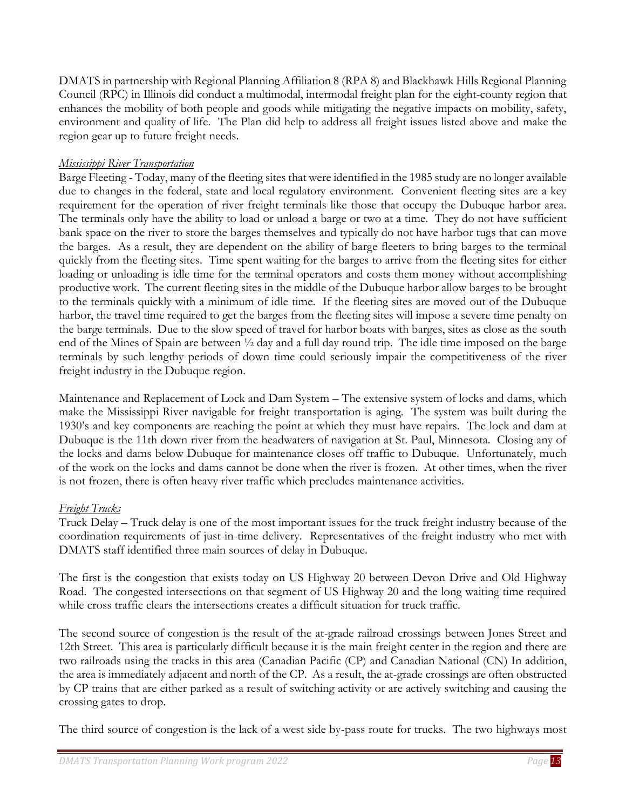DMATS in partnership with Regional Planning Affiliation 8 (RPA 8) and Blackhawk Hills Regional Planning Council (RPC) in Illinois did conduct a multimodal, intermodal freight plan for the eight-county region that enhances the mobility of both people and goods while mitigating the negative impacts on mobility, safety, environment and quality of life. The Plan did help to address all freight issues listed above and make the region gear up to future freight needs.

# *Mississippi River Transportation*

Barge Fleeting - Today, many of the fleeting sites that were identified in the 1985 study are no longer available due to changes in the federal, state and local regulatory environment. Convenient fleeting sites are a key requirement for the operation of river freight terminals like those that occupy the Dubuque harbor area. The terminals only have the ability to load or unload a barge or two at a time. They do not have sufficient bank space on the river to store the barges themselves and typically do not have harbor tugs that can move the barges. As a result, they are dependent on the ability of barge fleeters to bring barges to the terminal quickly from the fleeting sites. Time spent waiting for the barges to arrive from the fleeting sites for either loading or unloading is idle time for the terminal operators and costs them money without accomplishing productive work. The current fleeting sites in the middle of the Dubuque harbor allow barges to be brought to the terminals quickly with a minimum of idle time. If the fleeting sites are moved out of the Dubuque harbor, the travel time required to get the barges from the fleeting sites will impose a severe time penalty on the barge terminals. Due to the slow speed of travel for harbor boats with barges, sites as close as the south end of the Mines of Spain are between ½ day and a full day round trip. The idle time imposed on the barge terminals by such lengthy periods of down time could seriously impair the competitiveness of the river freight industry in the Dubuque region.

Maintenance and Replacement of Lock and Dam System – The extensive system of locks and dams, which make the Mississippi River navigable for freight transportation is aging. The system was built during the 1930's and key components are reaching the point at which they must have repairs. The lock and dam at Dubuque is the 11th down river from the headwaters of navigation at St. Paul, Minnesota. Closing any of the locks and dams below Dubuque for maintenance closes off traffic to Dubuque. Unfortunately, much of the work on the locks and dams cannot be done when the river is frozen. At other times, when the river is not frozen, there is often heavy river traffic which precludes maintenance activities.

# *Freight Trucks*

Truck Delay – Truck delay is one of the most important issues for the truck freight industry because of the coordination requirements of just-in-time delivery. Representatives of the freight industry who met with DMATS staff identified three main sources of delay in Dubuque.

The first is the congestion that exists today on US Highway 20 between Devon Drive and Old Highway Road. The congested intersections on that segment of US Highway 20 and the long waiting time required while cross traffic clears the intersections creates a difficult situation for truck traffic.

The second source of congestion is the result of the at-grade railroad crossings between Jones Street and 12th Street. This area is particularly difficult because it is the main freight center in the region and there are two railroads using the tracks in this area (Canadian Pacific (CP) and Canadian National (CN) In addition, the area is immediately adjacent and north of the CP. As a result, the at-grade crossings are often obstructed by CP trains that are either parked as a result of switching activity or are actively switching and causing the crossing gates to drop.

The third source of congestion is the lack of a west side by-pass route for trucks. The two highways most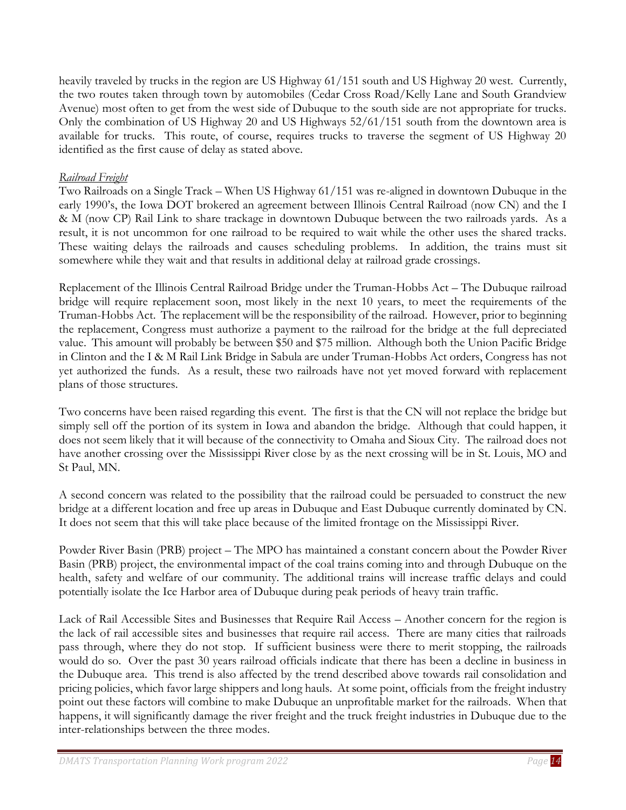heavily traveled by trucks in the region are US Highway 61/151 south and US Highway 20 west. Currently, the two routes taken through town by automobiles (Cedar Cross Road/Kelly Lane and South Grandview Avenue) most often to get from the west side of Dubuque to the south side are not appropriate for trucks. Only the combination of US Highway 20 and US Highways 52/61/151 south from the downtown area is available for trucks. This route, of course, requires trucks to traverse the segment of US Highway 20 identified as the first cause of delay as stated above.

## *Railroad Freight*

Two Railroads on a Single Track – When US Highway 61/151 was re-aligned in downtown Dubuque in the early 1990's, the Iowa DOT brokered an agreement between Illinois Central Railroad (now CN) and the I & M (now CP) Rail Link to share trackage in downtown Dubuque between the two railroads yards. As a result, it is not uncommon for one railroad to be required to wait while the other uses the shared tracks. These waiting delays the railroads and causes scheduling problems. In addition, the trains must sit somewhere while they wait and that results in additional delay at railroad grade crossings.

Replacement of the Illinois Central Railroad Bridge under the Truman-Hobbs Act – The Dubuque railroad bridge will require replacement soon, most likely in the next 10 years, to meet the requirements of the Truman-Hobbs Act. The replacement will be the responsibility of the railroad. However, prior to beginning the replacement, Congress must authorize a payment to the railroad for the bridge at the full depreciated value. This amount will probably be between \$50 and \$75 million. Although both the Union Pacific Bridge in Clinton and the I & M Rail Link Bridge in Sabula are under Truman-Hobbs Act orders, Congress has not yet authorized the funds. As a result, these two railroads have not yet moved forward with replacement plans of those structures.

Two concerns have been raised regarding this event. The first is that the CN will not replace the bridge but simply sell off the portion of its system in Iowa and abandon the bridge. Although that could happen, it does not seem likely that it will because of the connectivity to Omaha and Sioux City. The railroad does not have another crossing over the Mississippi River close by as the next crossing will be in St. Louis, MO and St Paul, MN.

A second concern was related to the possibility that the railroad could be persuaded to construct the new bridge at a different location and free up areas in Dubuque and East Dubuque currently dominated by CN. It does not seem that this will take place because of the limited frontage on the Mississippi River.

Powder River Basin (PRB) project – The MPO has maintained a constant concern about the Powder River Basin (PRB) project, the environmental impact of the coal trains coming into and through Dubuque on the health, safety and welfare of our community. The additional trains will increase traffic delays and could potentially isolate the Ice Harbor area of Dubuque during peak periods of heavy train traffic.

Lack of Rail Accessible Sites and Businesses that Require Rail Access – Another concern for the region is the lack of rail accessible sites and businesses that require rail access. There are many cities that railroads pass through, where they do not stop. If sufficient business were there to merit stopping, the railroads would do so. Over the past 30 years railroad officials indicate that there has been a decline in business in the Dubuque area. This trend is also affected by the trend described above towards rail consolidation and pricing policies, which favor large shippers and long hauls. At some point, officials from the freight industry point out these factors will combine to make Dubuque an unprofitable market for the railroads. When that happens, it will significantly damage the river freight and the truck freight industries in Dubuque due to the inter-relationships between the three modes.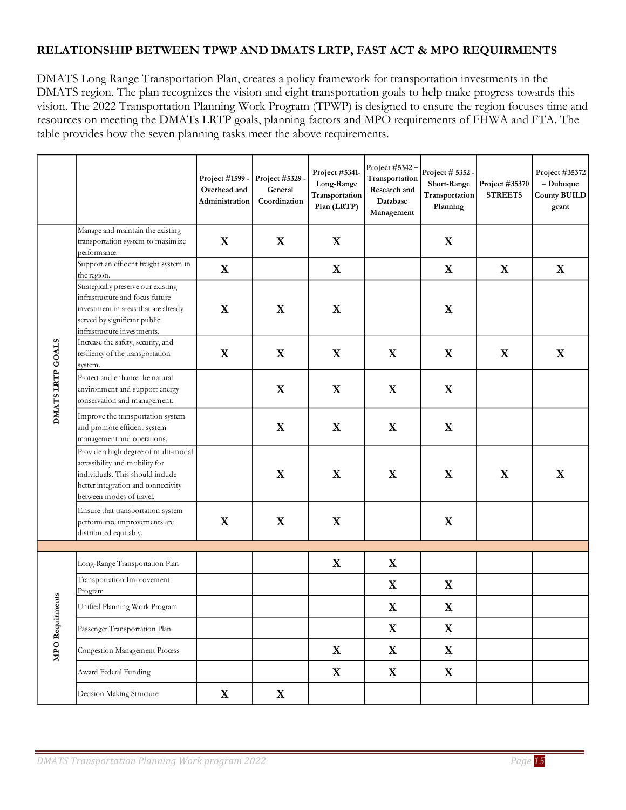# **RELATIONSHIP BETWEEN TPWP AND DMATS LRTP, FAST ACT & MPO REQUIRMENTS**

DMATS Long Range Transportation Plan, creates a policy framework for transportation investments in the DMATS region. The plan recognizes the vision and eight transportation goals to help make progress towards this vision. The 2022 Transportation Planning Work Program (TPWP) is designed to ensure the region focuses time and resources on meeting the DMATs LRTP goals, planning factors and MPO requirements of FHWA and FTA. The table provides how the seven planning tasks meet the above requirements.

|                  |                                                                                                                                                                               | Project #1599 -<br>Overhead and<br>Administration | Project #5329.<br>General<br>Coordination | Project #5341-<br>Long-Range<br>Transportation<br>Plan (LRTP) | Project $#5342-$<br>Transportation<br>Research and<br>Database<br>Management | Project # 5352 -<br>Short-Range<br>Transportation<br>Planning | Project #35370<br><b>STREETS</b> | Project #35372<br>$-Dubuque$<br><b>County BUILD</b><br>grant |
|------------------|-------------------------------------------------------------------------------------------------------------------------------------------------------------------------------|---------------------------------------------------|-------------------------------------------|---------------------------------------------------------------|------------------------------------------------------------------------------|---------------------------------------------------------------|----------------------------------|--------------------------------------------------------------|
|                  | Manage and maintain the existing<br>transportation system to maximize<br>performance.                                                                                         | $\mathbf{X}$                                      | X                                         | X                                                             |                                                                              | X                                                             |                                  |                                                              |
|                  | Support an efficient freight system in<br>the region.                                                                                                                         | X                                                 |                                           | X                                                             |                                                                              | X                                                             | X                                | X                                                            |
|                  | Strategically preserve our existing<br>infrastructure and focus future<br>investment in areas that are already<br>served by significant public<br>infrastructure investments. | X                                                 | X                                         | X                                                             |                                                                              | X                                                             |                                  |                                                              |
|                  | Increase the safety, security, and<br>resiliency of the transportation<br>system.                                                                                             | X                                                 | X                                         | X                                                             | X                                                                            | X                                                             | X                                | X                                                            |
| DMATS LRTP GOALS | Protect and enhance the natural<br>environment and support energy<br>conservation and management.                                                                             |                                                   | X                                         | X                                                             | X                                                                            | X                                                             |                                  |                                                              |
|                  | Improve the transportation system<br>and promote efficient system<br>management and operations.                                                                               |                                                   | X                                         | X                                                             | X                                                                            | X                                                             |                                  |                                                              |
|                  | Provide a high degree of multi-modal<br>accessibility and mobility for<br>individuals. This should indude<br>better integration and connectivity<br>between modes of travel.  |                                                   | X                                         | X                                                             | X                                                                            | X                                                             | $\mathbf X$                      | X                                                            |
|                  | Ensure that transportation system<br>performance improvements are<br>distributed equitably.                                                                                   | X                                                 | X                                         | X                                                             |                                                                              | X                                                             |                                  |                                                              |
|                  |                                                                                                                                                                               |                                                   |                                           |                                                               |                                                                              |                                                               |                                  |                                                              |
|                  | Long-Range Transportation Plan                                                                                                                                                |                                                   |                                           | X                                                             | X                                                                            |                                                               |                                  |                                                              |
|                  | Transportation Improvement<br>Program                                                                                                                                         |                                                   |                                           |                                                               | X                                                                            | X                                                             |                                  |                                                              |
| ments            | Unified Planning Work Program                                                                                                                                                 |                                                   |                                           |                                                               | X                                                                            | X                                                             |                                  |                                                              |
|                  | Passenger Transportation Plan                                                                                                                                                 |                                                   |                                           |                                                               | X                                                                            | $\mathbf X$                                                   |                                  |                                                              |
| MPO Requir       | Congestion Management Process                                                                                                                                                 |                                                   |                                           | $\mathbf X$                                                   | $\mathbf X$                                                                  | $\mathbf X$                                                   |                                  |                                                              |
|                  | Award Federal Funding                                                                                                                                                         |                                                   |                                           | $\mathbf X$                                                   | $\mathbf X$                                                                  | $\mathbf X$                                                   |                                  |                                                              |
|                  | Decision Making Structure                                                                                                                                                     | $\mathbf X$                                       | X                                         |                                                               |                                                                              |                                                               |                                  |                                                              |

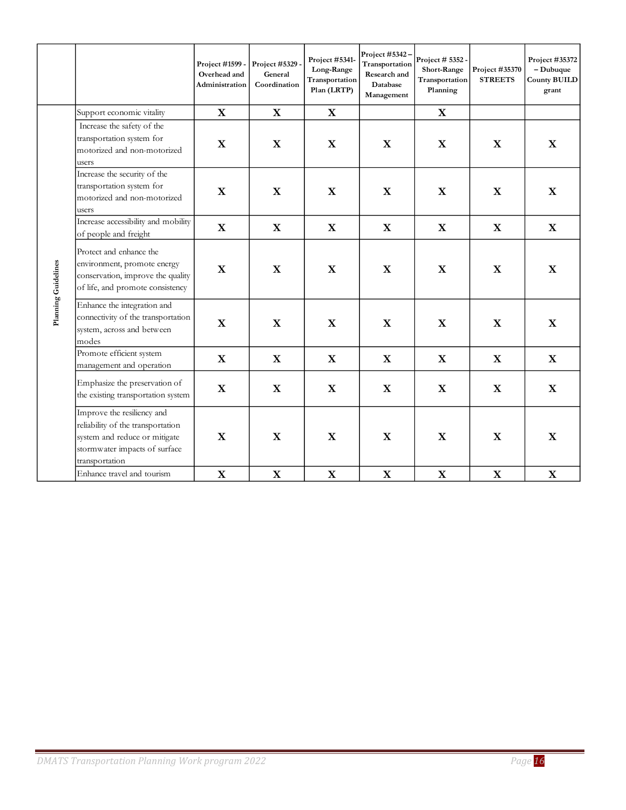|                     |                                                                                                                                                     | Project #1599 -<br>Overhead and<br>Administration | Project #5329<br>General<br>Coordination | Project #5341-<br>Long-Range<br>Transportation<br>Plan (LRTP) | Project #5342<br>Transportation<br>Research and<br>Database<br>Management | Project # 5352 -<br>Short-Range<br>Transportation<br>Planning | Project #35370<br><b>STREETS</b> | Project #35372<br>$-Dubuque$<br><b>County BUILD</b><br>grant |
|---------------------|-----------------------------------------------------------------------------------------------------------------------------------------------------|---------------------------------------------------|------------------------------------------|---------------------------------------------------------------|---------------------------------------------------------------------------|---------------------------------------------------------------|----------------------------------|--------------------------------------------------------------|
|                     | Support economic vitality                                                                                                                           | $\mathbf X$                                       | $\mathbf{X}$                             | X                                                             |                                                                           | X                                                             |                                  |                                                              |
|                     | Increase the safety of the<br>transportation system for<br>motorized and non-motorized<br>users                                                     | $\mathbf X$                                       | $\mathbf X$                              | $\mathbf X$                                                   | $\mathbf X$                                                               | $\mathbf X$                                                   | $\mathbf X$                      | X                                                            |
|                     | Increase the security of the<br>transportation system for<br>motorized and non-motorized<br>users                                                   | $\mathbf X$                                       | $\mathbf X$                              | $\mathbf X$                                                   | $\mathbf X$                                                               | $\mathbf X$                                                   | $\mathbf X$                      | $\mathbf X$                                                  |
|                     | Increase accessibility and mobility<br>of people and freight                                                                                        | $\mathbf{X}$                                      | $\mathbf X$                              | X                                                             | $\mathbf{X}$                                                              | $\mathbf X$                                                   | $\mathbf{X}$                     | X                                                            |
| Planning Guidelines | Protect and enhance the<br>environment, promote energy<br>conservation, improve the quality<br>of life, and promote consistency                     | X                                                 | X                                        | $\mathbf X$                                                   | $\mathbf X$                                                               | $\mathbf X$                                                   | X                                | X                                                            |
|                     | Enhance the integration and<br>connectivity of the transportation<br>system, across and between<br>modes                                            | $\mathbf{X}$                                      | $\mathbf X$                              | $\mathbf X$                                                   | $\mathbf X$                                                               | $\mathbf X$                                                   | $\mathbf X$                      | $\mathbf X$                                                  |
|                     | Promote efficient system<br>management and operation                                                                                                | X                                                 | X                                        | X                                                             | $\mathbf X$                                                               | $\mathbf X$                                                   | X                                | X                                                            |
|                     | Emphasize the preservation of<br>the existing transportation system                                                                                 | X                                                 | X                                        | X                                                             | X                                                                         | X                                                             | X                                | X                                                            |
|                     | Improve the resiliency and<br>reliability of the transportation<br>system and reduce or mitigate<br>stormwater impacts of surface<br>transportation | X                                                 | $\mathbf X$                              | $\mathbf X$                                                   | $\mathbf X$                                                               | $\mathbf X$                                                   | $\mathbf X$                      | X                                                            |
|                     | Enhance travel and tourism                                                                                                                          | $\mathbf X$                                       | $\mathbf X$                              | $\mathbf X$                                                   | $\mathbf X$                                                               | $\mathbf X$                                                   | $\mathbf X$                      | $\mathbf X$                                                  |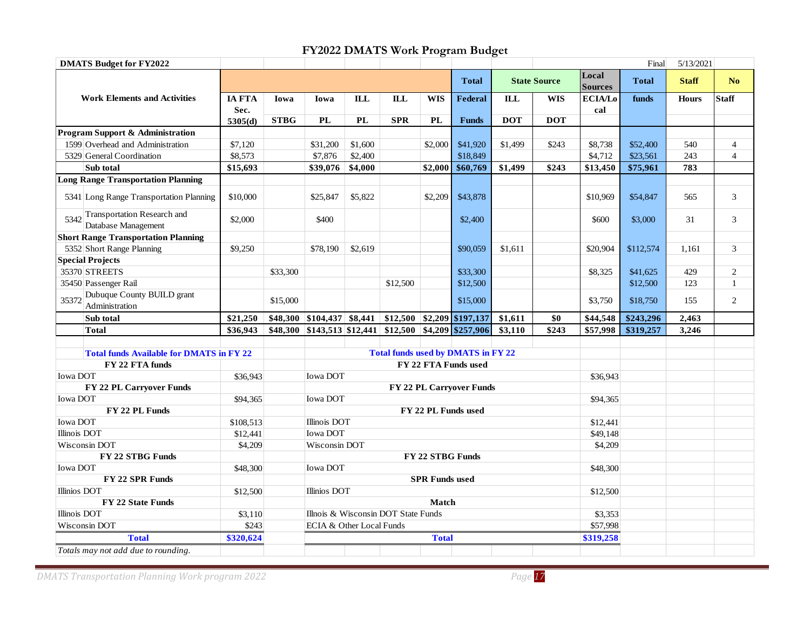# **FY2022 DMATS Work Program Budget**

<span id="page-16-0"></span>

|                                                            |                       |             |                                        |                                           |                                     |              | FY2022 DMATS Work Program Budget |            |                     |                       |              |              |                |
|------------------------------------------------------------|-----------------------|-------------|----------------------------------------|-------------------------------------------|-------------------------------------|--------------|----------------------------------|------------|---------------------|-----------------------|--------------|--------------|----------------|
| <b>DMATS Budget for FY2022</b>                             |                       |             |                                        |                                           |                                     |              |                                  |            |                     | Local                 | Final        | 5/13/2021    |                |
|                                                            |                       |             |                                        |                                           |                                     |              | <b>Total</b>                     |            | <b>State Source</b> | <b>Sources</b>        | <b>Total</b> | <b>Staff</b> | N <sub>o</sub> |
| <b>Work Elements and Activities</b>                        | <b>IA FTA</b><br>Sec. | Iowa        | Iowa                                   | ILL                                       | <b>ILL</b>                          | <b>WIS</b>   | <b>Federal</b>                   | <b>ILL</b> | <b>WIS</b>          | <b>ECIA/Lo</b><br>cal | funds        | <b>Hours</b> | <b>Staff</b>   |
|                                                            | 5305(d)               | <b>STBG</b> | PL                                     | <b>PL</b>                                 | <b>SPR</b>                          | <b>PL</b>    | <b>Funds</b>                     | <b>DOT</b> | <b>DOT</b>          |                       |              |              |                |
| Program Support & Administration                           |                       |             |                                        |                                           |                                     |              |                                  |            |                     |                       |              |              |                |
| 1599 Overhead and Administration                           | \$7,120               |             | \$31,200                               | \$1,600                                   |                                     | \$2,000      | \$41,920                         | \$1,499    | \$243               | \$8,738               | \$52,400     | 540          | $\overline{4}$ |
| 5329 General Coordination                                  | \$8,573               |             | \$7,876                                | \$2,400                                   |                                     |              | \$18,849                         |            |                     | \$4,712               | \$23,561     | 243          | 4              |
| Sub total                                                  | \$15,693              |             | \$39,076                               | \$4,000                                   |                                     | \$2,000      | \$60,769                         | \$1,499    | \$243               | \$13,450              | \$75,961     | 783          |                |
| <b>Long Range Transportation Planning</b>                  |                       |             |                                        |                                           |                                     |              |                                  |            |                     |                       |              |              |                |
| 5341 Long Range Transportation Planning                    | \$10,000              |             | \$25,847                               | \$5,822                                   |                                     | \$2,209      | \$43,878                         |            |                     | \$10,969              | \$54,847     | 565          | 3              |
| Transportation Research and<br>5342<br>Database Management | \$2,000               |             | \$400                                  |                                           |                                     |              | \$2,400                          |            |                     | \$600                 | \$3,000      | 31           | 3              |
| <b>Short Range Transportation Planning</b>                 |                       |             |                                        |                                           |                                     |              |                                  |            |                     |                       |              |              |                |
| 5352 Short Range Planning                                  | \$9,250               |             | \$78,190                               | \$2,619                                   |                                     |              | \$90,059                         | \$1,611    |                     | \$20,904              | \$112,574    | 1,161        | 3              |
| <b>Special Projects</b>                                    |                       |             |                                        |                                           |                                     |              |                                  |            |                     |                       |              |              |                |
| 35370 STREETS                                              |                       | \$33,300    |                                        |                                           |                                     |              | \$33,300                         |            |                     | \$8,325               | \$41,625     | 429          | $\overline{c}$ |
| 35450 Passenger Rail                                       |                       |             |                                        |                                           | \$12,500                            |              | \$12,500                         |            |                     |                       | \$12,500     | 123          | $\mathbf{1}$   |
| Dubuque County BUILD grant<br>35372<br>Administration      |                       | \$15,000    |                                        |                                           |                                     |              | \$15,000                         |            |                     | \$3,750               | \$18,750     | 155          | $\overline{2}$ |
| Sub total                                                  | \$21,250              | \$48,300    | $ $104,437$ \ \$8,441 \                |                                           |                                     |              | $$12,500$ $$2,209$ $$197,137$    | \$1,611    | \$0                 | \$44,548              | \$243,296    | 2,463        |                |
| <b>Total</b>                                               | \$36,943              | \$48,300    | $ \$143,513 \$12,441 \$12,500 \$4,209$ |                                           |                                     |              | \$257,906                        | \$3,110    | \$243               | \$57,998              | \$319,257    | 3,246        |                |
|                                                            |                       |             |                                        |                                           |                                     |              |                                  |            |                     |                       |              |              |                |
| <b>Total funds Available for DMATS in FY 22</b>            |                       |             |                                        | <b>Total funds used by DMATS in FY 22</b> |                                     |              |                                  |            |                     |                       |              |              |                |
| FY 22 FTA funds                                            |                       |             |                                        |                                           |                                     |              | FY 22 FTA Funds used             |            |                     |                       |              |              |                |
| Iowa DOT                                                   | \$36,943              |             | <b>Iowa DOT</b>                        |                                           |                                     |              |                                  |            |                     | \$36,943              |              |              |                |
| FY 22 PL Carryover Funds                                   |                       |             |                                        |                                           |                                     |              | FY 22 PL Carryover Funds         |            |                     |                       |              |              |                |
| Iowa DOT                                                   | \$94,365              |             | Iowa DOT                               |                                           |                                     |              |                                  |            |                     | \$94,365              |              |              |                |
| FY 22 PL Funds                                             |                       |             |                                        |                                           |                                     |              | FY 22 PL Funds used              |            |                     |                       |              |              |                |
| <b>Iowa DOT</b>                                            | \$108,513             |             |                                        | <b>Illinois DOT</b>                       |                                     |              |                                  |            | \$12,441            |                       |              |              |                |
| Illinois DOT                                               | \$12,441              |             | Iowa DOT                               |                                           |                                     |              |                                  | \$49,148   |                     |                       |              |              |                |
| Wisconsin DOT                                              | \$4,209               |             | Wisconsin DOT                          |                                           |                                     |              |                                  | \$4,209    |                     |                       |              |              |                |
| FY 22 STBG Funds                                           |                       |             | FY 22 STBG Funds                       |                                           |                                     |              |                                  |            |                     |                       |              |              |                |
| Iowa DOT                                                   | \$48,300              |             | Iowa DOT                               |                                           |                                     |              |                                  | \$48,300   |                     |                       |              |              |                |
| FY 22 SPR Funds                                            |                       |             | <b>SPR Funds used</b>                  |                                           |                                     |              |                                  |            |                     |                       |              |              |                |
| Illinios DOT                                               | \$12,500              |             | Illinios DOT                           |                                           |                                     |              |                                  |            |                     | \$12,500              |              |              |                |
| FY 22 State Funds                                          |                       |             |                                        |                                           |                                     | <b>Match</b> |                                  |            |                     |                       |              |              |                |
| Illinois DOT                                               | \$3,110               |             |                                        |                                           | Illnois & Wisconsin DOT State Funds |              |                                  |            |                     | \$3,353               |              |              |                |
| Wisconsin DOT                                              | \$243                 |             | ECIA & Other Local Funds               |                                           |                                     |              |                                  |            |                     | \$57,998              |              |              |                |
| <b>Total</b>                                               | \$320,624             |             |                                        |                                           |                                     | <b>Total</b> |                                  |            |                     | \$319,258             |              |              |                |
| Totals may not add due to rounding.                        |                       |             |                                        |                                           |                                     |              |                                  |            |                     |                       |              |              |                |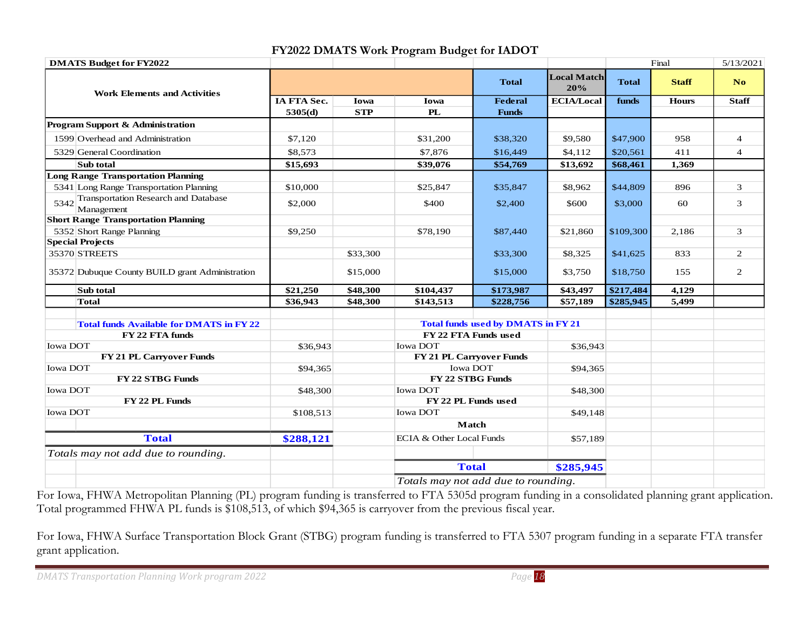<span id="page-17-0"></span>

| <b>DMATS Budget for FY2022</b>                          |             |            |                                     |                                           |                           |              | Final        | 5/13/2021      |
|---------------------------------------------------------|-------------|------------|-------------------------------------|-------------------------------------------|---------------------------|--------------|--------------|----------------|
| <b>Work Elements and Activities</b>                     |             |            |                                     | <b>Total</b>                              | <b>Local Match</b><br>20% | <b>Total</b> | <b>Staff</b> | N <sub>o</sub> |
|                                                         | IA FTA Sec. | Iowa       | Iowa                                | <b>Federal</b>                            | <b>ECIA/Local</b>         | funds        | <b>Hours</b> | <b>Staff</b>   |
|                                                         | 5305(d)     | <b>STP</b> | <b>PL</b>                           | <b>Funds</b>                              |                           |              |              |                |
| Program Support & Administration                        |             |            |                                     |                                           |                           |              |              |                |
| 1599 Overhead and Administration                        | \$7,120     |            | \$31,200                            | \$38,320                                  | \$9,580                   | \$47,900     | 958          | $\overline{4}$ |
| 5329 General Coordination                               | \$8,573     |            | \$7,876                             | \$16,449                                  | \$4,112                   | \$20,561     | 411          | $\overline{4}$ |
| Sub total                                               | \$15,693    |            | \$39,076                            | \$54,769                                  | \$13,692                  | \$68,461     | 1,369        |                |
| <b>Long Range Transportation Planning</b>               |             |            |                                     |                                           |                           |              |              |                |
| 5341 Long Range Transportation Planning                 | \$10,000    |            | \$25,847                            | \$35,847                                  | \$8,962                   | \$44,809     | 896          | 3              |
| 5342 Transportation Research and Database<br>Management | \$2,000     |            | \$400                               | \$2,400                                   | \$600                     | \$3,000      | 60           | 3              |
| <b>Short Range Transportation Planning</b>              |             |            |                                     |                                           |                           |              |              |                |
| 5352 Short Range Planning                               | \$9,250     |            | \$78,190                            | \$87,440                                  | \$21,860                  | \$109,300    | 2,186        | 3              |
| <b>Special Projects</b>                                 |             |            |                                     |                                           |                           |              |              |                |
| 35370 STREETS                                           |             | \$33,300   |                                     | \$33,300                                  | \$8,325                   | \$41,625     | 833          | $\overline{2}$ |
| 35372 Dubuque County BUILD grant Administration         |             | \$15,000   |                                     | \$15,000                                  | \$3,750                   | \$18,750     | 155          | 2              |
| Sub total                                               | \$21,250    | \$48,300   | \$104,437                           | \$173,987                                 | \$43,497                  | \$217,484    | 4,129        |                |
| <b>Total</b>                                            | \$36,943    | \$48,300   | \$143,513                           | \$228,756                                 | \$57,189                  | \$285,945    | 5,499        |                |
| <b>Total funds Available for DMATS in FY 22</b>         |             |            |                                     | <b>Total funds used by DMATS in FY 21</b> |                           |              |              |                |
| FY 22 FTA funds                                         |             |            |                                     | FY 22 FTA Funds used                      |                           |              |              |                |
| Iowa DOT                                                | \$36,943    |            | Iowa DOT                            |                                           | \$36,943                  |              |              |                |
| FY 21 PL Carryover Funds                                |             |            |                                     | FY 21 PL Carryover Funds                  |                           |              |              |                |
| Iowa DOT                                                | \$94,365    |            | Iowa DOT                            |                                           | \$94,365                  |              |              |                |
| FY 22 STBG Funds                                        |             |            | FY 22 STBG Funds                    |                                           |                           |              |              |                |
| Iowa DOT                                                | \$48,300    |            | <b>Iowa DOT</b>                     |                                           | \$48,300                  |              |              |                |
| FY 22 PL Funds                                          |             |            | FY 22 PL Funds used                 |                                           |                           |              |              |                |
| <b>Iowa DOT</b>                                         | \$108,513   |            | <b>Iowa DOT</b>                     |                                           | \$49,148                  |              |              |                |
|                                                         |             |            |                                     | <b>Match</b>                              |                           |              |              |                |
| <b>Total</b>                                            | \$288,121   |            | ECIA & Other Local Funds            |                                           | \$57,189                  |              |              |                |
| Totals may not add due to rounding.                     |             |            |                                     |                                           |                           |              |              |                |
|                                                         |             |            |                                     | <b>Total</b>                              | \$285,945                 |              |              |                |
|                                                         |             |            | Totals may not add due to rounding. |                                           |                           |              |              |                |

#### **FY2022 DMATS Work Program Budget for IADOT**

For Iowa, FHWA Metropolitan Planning (PL) program funding is transferred to FTA 5305d program funding in a consolidated planning grant application. Total programmed FHWA PL funds is \$108,513, of which \$94,365 is carryover from the previous fiscal year.

For Iowa, FHWA Surface Transportation Block Grant (STBG) program funding is transferred to FTA 5307 program funding in a separate FTA transfer grant application.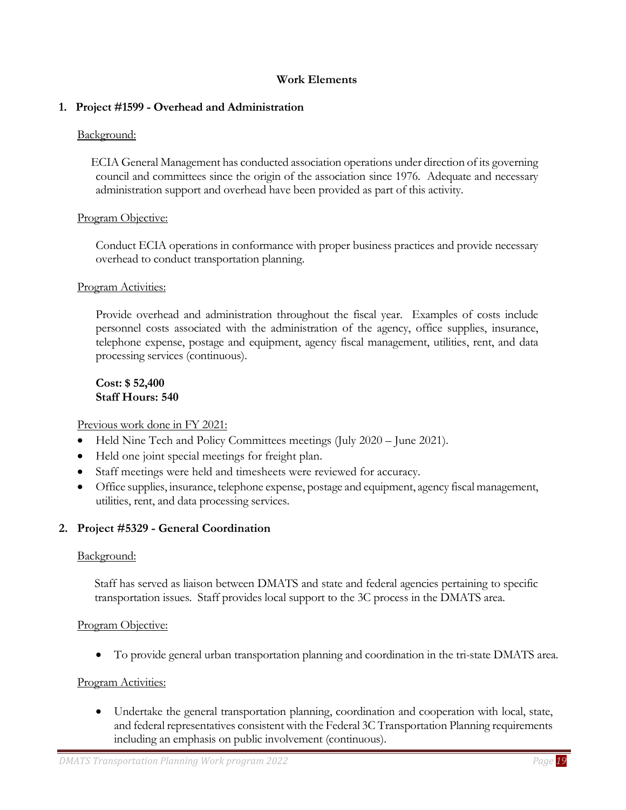#### **Work Elements**

#### <span id="page-18-1"></span><span id="page-18-0"></span>**1. Project #1599 - Overhead and Administration**

#### Background:

 ECIA General Management has conducted association operations under direction of its governing council and committees since the origin of the association since 1976. Adequate and necessary administration support and overhead have been provided as part of this activity.

#### Program Objective:

Conduct ECIA operations in conformance with proper business practices and provide necessary overhead to conduct transportation planning.

#### Program Activities:

Provide overhead and administration throughout the fiscal year. Examples of costs include personnel costs associated with the administration of the agency, office supplies, insurance, telephone expense, postage and equipment, agency fiscal management, utilities, rent, and data processing services (continuous).

#### **Cost: \$ 52,400 Staff Hours: 540**

Previous work done in FY 2021:

- Held Nine Tech and Policy Committees meetings (July 2020 June 2021).
- Held one joint special meetings for freight plan.
- Staff meetings were held and timesheets were reviewed for accuracy.
- Office supplies, insurance, telephone expense, postage and equipment, agency fiscal management, utilities, rent, and data processing services.

#### <span id="page-18-2"></span>**2. Project #5329 - General Coordination**

#### Background:

Staff has served as liaison between DMATS and state and federal agencies pertaining to specific transportation issues. Staff provides local support to the 3C process in the DMATS area.

#### Program Objective:

• To provide general urban transportation planning and coordination in the tri-state DMATS area.

#### Program Activities:

• Undertake the general transportation planning, coordination and cooperation with local, state, and federal representatives consistent with the Federal 3C Transportation Planning requirements including an emphasis on public involvement (continuous).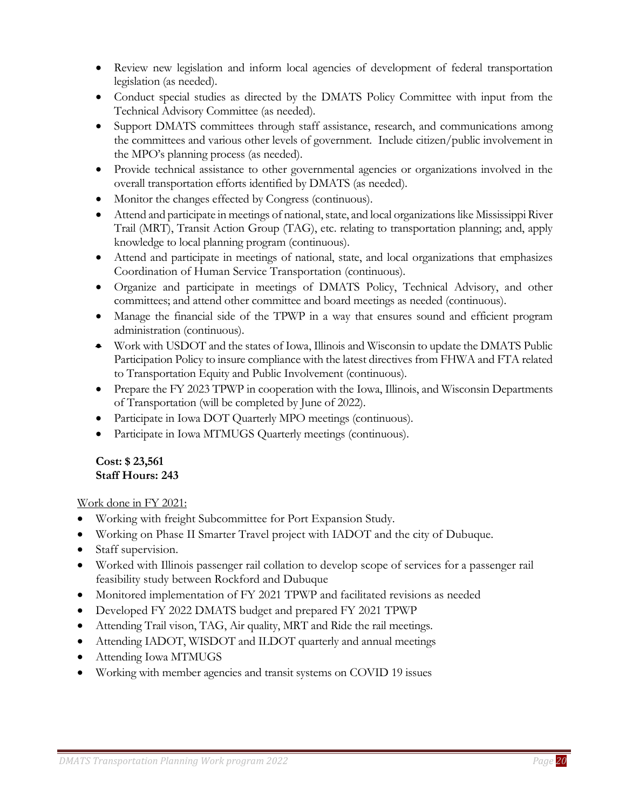- Review new legislation and inform local agencies of development of federal transportation legislation (as needed).
- Conduct special studies as directed by the DMATS Policy Committee with input from the Technical Advisory Committee (as needed).
- Support DMATS committees through staff assistance, research, and communications among the committees and various other levels of government. Include citizen/public involvement in the MPO's planning process (as needed).
- Provide technical assistance to other governmental agencies or organizations involved in the overall transportation efforts identified by DMATS (as needed).
- Monitor the changes effected by Congress (continuous).
- Attend and participate in meetings of national, state, and local organizations like Mississippi River Trail (MRT), Transit Action Group (TAG), etc. relating to transportation planning; and, apply knowledge to local planning program (continuous).
- Attend and participate in meetings of national, state, and local organizations that emphasizes Coordination of Human Service Transportation (continuous).
- Organize and participate in meetings of DMATS Policy, Technical Advisory, and other committees; and attend other committee and board meetings as needed (continuous).
- Manage the financial side of the TPWP in a way that ensures sound and efficient program administration (continuous).
- Work with USDOT and the states of Iowa, Illinois and Wisconsin to update the DMATS Public Participation Policy to insure compliance with the latest directives from FHWA and FTA related to Transportation Equity and Public Involvement (continuous).
- Prepare the FY 2023 TPWP in cooperation with the Iowa, Illinois, and Wisconsin Departments of Transportation (will be completed by June of 2022).
- Participate in Iowa DOT Quarterly MPO meetings (continuous).
- Participate in Iowa MTMUGS Quarterly meetings (continuous).

#### **Cost: \$ 23,561 Staff Hours: 243**

Work done in FY 2021:

- Working with freight Subcommittee for Port Expansion Study.
- Working on Phase II Smarter Travel project with IADOT and the city of Dubuque.
- Staff supervision.
- Worked with Illinois passenger rail collation to develop scope of services for a passenger rail feasibility study between Rockford and Dubuque
- Monitored implementation of FY 2021 TPWP and facilitated revisions as needed
- Developed FY 2022 DMATS budget and prepared FY 2021 TPWP
- Attending Trail vison, TAG, Air quality, MRT and Ride the rail meetings.
- Attending IADOT, WISDOT and ILDOT quarterly and annual meetings
- Attending Iowa MTMUGS
- Working with member agencies and transit systems on COVID 19 issues

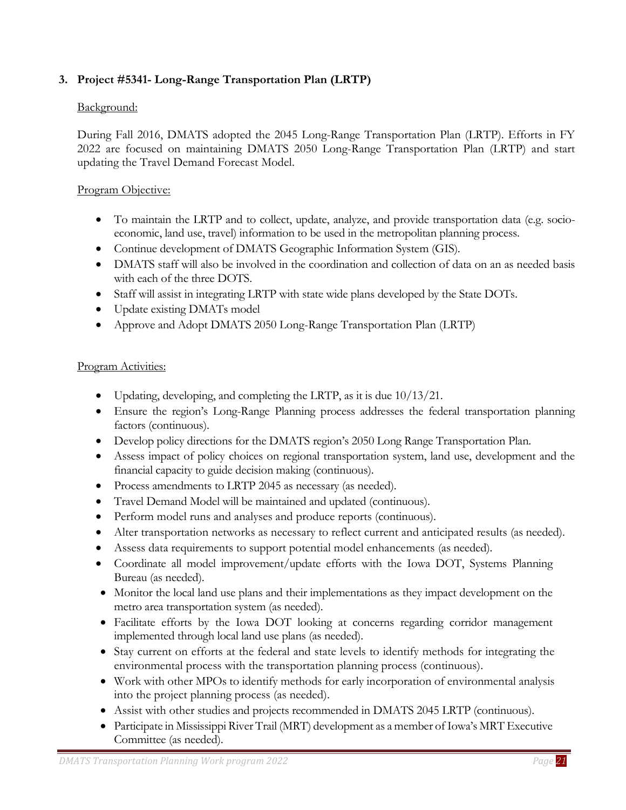# <span id="page-20-0"></span>**3. Project #5341- Long-Range Transportation Plan (LRTP)**

#### Background:

During Fall 2016, DMATS adopted the 2045 Long-Range Transportation Plan (LRTP). Efforts in FY 2022 are focused on maintaining DMATS 2050 Long-Range Transportation Plan (LRTP) and start updating the Travel Demand Forecast Model.

#### Program Objective:

- To maintain the LRTP and to collect, update, analyze, and provide transportation data (e.g. socioeconomic, land use, travel) information to be used in the metropolitan planning process.
- Continue development of DMATS Geographic Information System (GIS).
- DMATS staff will also be involved in the coordination and collection of data on an as needed basis with each of the three DOTS.
- Staff will assist in integrating LRTP with state wide plans developed by the State DOTs.
- Update existing DMATs model
- Approve and Adopt DMATS 2050 Long-Range Transportation Plan (LRTP)

#### Program Activities:

- Updating, developing, and completing the LRTP, as it is due  $10/13/21$ .
- Ensure the region's Long-Range Planning process addresses the federal transportation planning factors (continuous).
- Develop policy directions for the DMATS region's 2050 Long Range Transportation Plan.
- Assess impact of policy choices on regional transportation system, land use, development and the financial capacity to guide decision making (continuous).
- Process amendments to LRTP 2045 as necessary (as needed).
- Travel Demand Model will be maintained and updated (continuous).
- Perform model runs and analyses and produce reports (continuous).
- Alter transportation networks as necessary to reflect current and anticipated results (as needed).
- Assess data requirements to support potential model enhancements (as needed).
- Coordinate all model improvement/update efforts with the Iowa DOT, Systems Planning Bureau (as needed).
- Monitor the local land use plans and their implementations as they impact development on the metro area transportation system (as needed).
- Facilitate efforts by the Iowa DOT looking at concerns regarding corridor management implemented through local land use plans (as needed).
- Stay current on efforts at the federal and state levels to identify methods for integrating the environmental process with the transportation planning process (continuous).
- Work with other MPOs to identify methods for early incorporation of environmental analysis into the project planning process (as needed).
- Assist with other studies and projects recommended in DMATS 2045 LRTP (continuous).
- Participate in Mississippi River Trail (MRT) development as a member of Iowa's MRT Executive Committee (as needed).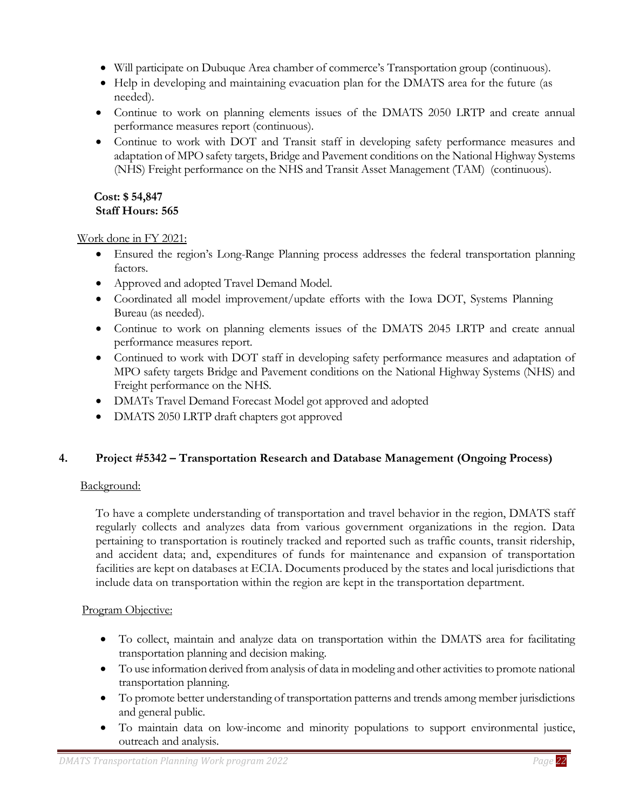- Will participate on Dubuque Area chamber of commerce's Transportation group (continuous).
- Help in developing and maintaining evacuation plan for the DMATS area for the future (as needed).
- Continue to work on planning elements issues of the DMATS 2050 LRTP and create annual performance measures report (continuous).
- Continue to work with DOT and Transit staff in developing safety performance measures and adaptation of MPO safety targets, Bridge and Pavement conditions on the National Highway Systems (NHS) Freight performance on the NHS and Transit Asset Management (TAM) (continuous).

#### **Cost: \$ 54,847 Staff Hours: 565**

Work done in FY 2021:

- Ensured the region's Long-Range Planning process addresses the federal transportation planning factors.
- Approved and adopted Travel Demand Model.
- Coordinated all model improvement/update efforts with the Iowa DOT, Systems Planning Bureau (as needed).
- Continue to work on planning elements issues of the DMATS 2045 LRTP and create annual performance measures report.
- Continued to work with DOT staff in developing safety performance measures and adaptation of MPO safety targets Bridge and Pavement conditions on the National Highway Systems (NHS) and Freight performance on the NHS.
- DMATs Travel Demand Forecast Model got approved and adopted
- DMATS 2050 LRTP draft chapters got approved

# <span id="page-21-0"></span>**4. Project #5342 – Transportation Research and Database Management (Ongoing Process)**

# Background:

To have a complete understanding of transportation and travel behavior in the region, DMATS staff regularly collects and analyzes data from various government organizations in the region. Data pertaining to transportation is routinely tracked and reported such as traffic counts, transit ridership, and accident data; and, expenditures of funds for maintenance and expansion of transportation facilities are kept on databases at ECIA. Documents produced by the states and local jurisdictions that include data on transportation within the region are kept in the transportation department.

# Program Objective:

- To collect, maintain and analyze data on transportation within the DMATS area for facilitating transportation planning and decision making.
- To use information derived from analysis of data in modeling and other activities to promote national transportation planning.
- To promote better understanding of transportation patterns and trends among member jurisdictions and general public.
- To maintain data on low-income and minority populations to support environmental justice, outreach and analysis.

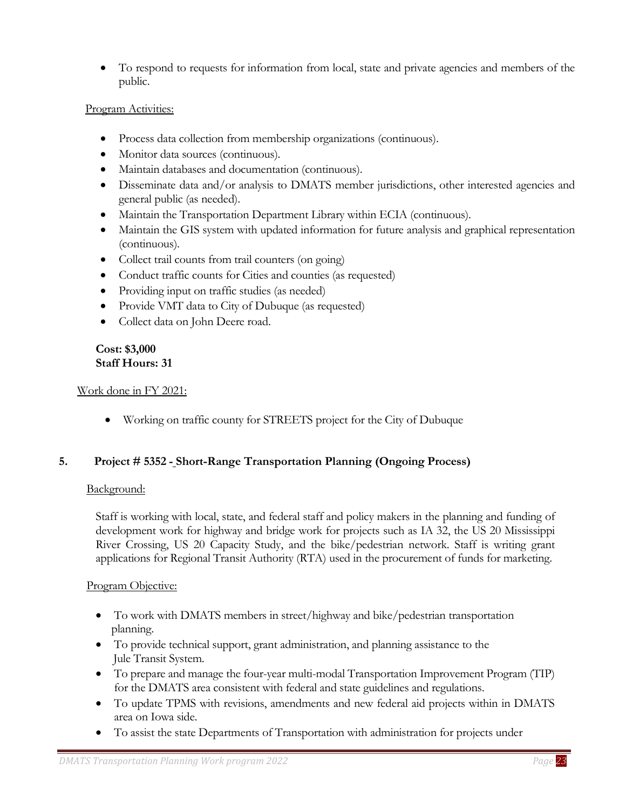• To respond to requests for information from local, state and private agencies and members of the public.

#### Program Activities:

- Process data collection from membership organizations (continuous).
- Monitor data sources (continuous).
- Maintain databases and documentation (continuous).
- Disseminate data and/or analysis to DMATS member jurisdictions, other interested agencies and general public (as needed).
- Maintain the Transportation Department Library within ECIA (continuous).
- Maintain the GIS system with updated information for future analysis and graphical representation (continuous).
- Collect trail counts from trail counters (on going)
- Conduct traffic counts for Cities and counties (as requested)
- Providing input on traffic studies (as needed)
- Provide VMT data to City of Dubuque (as requested)
- Collect data on John Deere road.

#### **Cost: \$3,000 Staff Hours: 31**

#### Work done in FY 2021:

• Working on traffic county for STREETS project for the City of Dubuque

# **5. Project # 5352 - Short-Range Transportation Planning (Ongoing Process)**

#### <span id="page-22-0"></span>Background:

Staff is working with local, state, and federal staff and policy makers in the planning and funding of development work for highway and bridge work for projects such as IA 32, the US 20 Mississippi River Crossing, US 20 Capacity Study, and the bike/pedestrian network. Staff is writing grant applications for Regional Transit Authority (RTA) used in the procurement of funds for marketing.

# Program Objective:

- To work with DMATS members in street/highway and bike/pedestrian transportation planning.
- To provide technical support, grant administration, and planning assistance to the Jule Transit System.
- To prepare and manage the four-year multi-modal Transportation Improvement Program (TIP) for the DMATS area consistent with federal and state guidelines and regulations.
- To update TPMS with revisions, amendments and new federal aid projects within in DMATS area on Iowa side.
- To assist the state Departments of Transportation with administration for projects under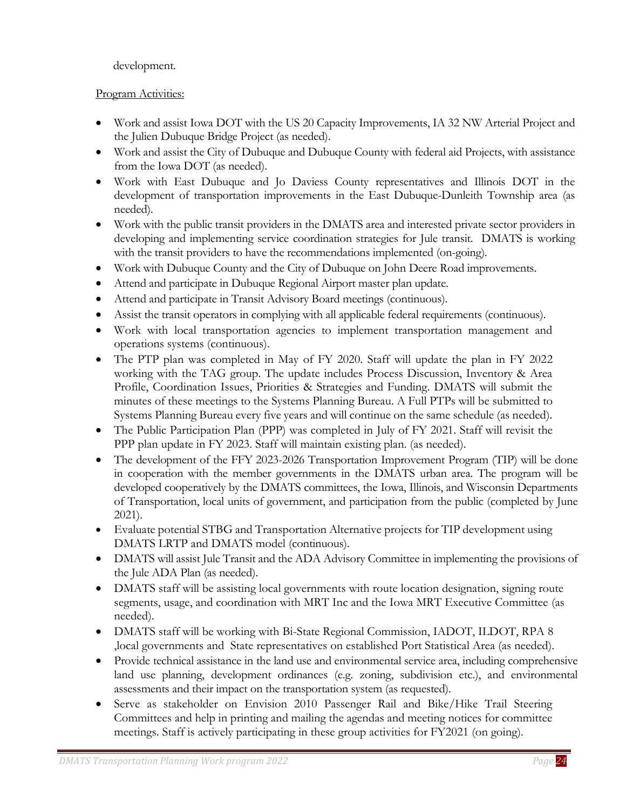# development.

# Program Activities:

- Work and assist Iowa DOT with the US 20 Capacity Improvements, IA 32 NW Arterial Project and the Julien Dubuque Bridge Project (as needed).
- Work and assist the City of Dubuque and Dubuque County with federal aid Projects, with assistance from the Iowa DOT (as needed).
- Work with East Dubuque and Jo Daviess County representatives and Illinois DOT in the development of transportation improvements in the East Dubuque-Dunleith Township area (as needed).
- Work with the public transit providers in the DMATS area and interested private sector providers in developing and implementing service coordination strategies for Jule transit. DMATS is working with the transit providers to have the recommendations implemented (on-going).
- Work with Dubuque County and the City of Dubuque on John Deere Road improvements.
- Attend and participate in Dubuque Regional Airport master plan update.
- Attend and participate in Transit Advisory Board meetings (continuous).
- Assist the transit operators in complying with all applicable federal requirements (continuous).
- Work with local transportation agencies to implement transportation management and operations systems (continuous).
- The PTP plan was completed in May of FY 2020. Staff will update the plan in FY 2022 working with the TAG group. The update includes Process Discussion, Inventory & Area Profile, Coordination Issues, Priorities & Strategies and Funding. DMATS will submit the minutes of these meetings to the Systems Planning Bureau. A Full PTPs will be submitted to Systems Planning Bureau every five years and will continue on the same schedule (as needed).
- The Public Participation Plan (PPP) was completed in July of FY 2021. Staff will revisit the PPP plan update in FY 2023. Staff will maintain existing plan. (as needed).
- The development of the FFY 2023-2026 Transportation Improvement Program (TIP) will be done in cooperation with the member governments in the DMATS urban area. The program will be developed cooperatively by the DMATS committees, the Iowa, Illinois, and Wisconsin Departments of Transportation, local units of government, and participation from the public (completed by June 2021).
- Evaluate potential STBG and Transportation Alternative projects for TIP development using DMATS LRTP and DMATS model (continuous).
- DMATS will assist Jule Transit and the ADA Advisory Committee in implementing the provisions of the Jule ADA Plan (as needed).
- DMATS staff will be assisting local governments with route location designation, signing route segments, usage, and coordination with MRT Inc and the Iowa MRT Executive Committee (as needed).
- DMATS staff will be working with Bi-State Regional Commission, IADOT, ILDOT, RPA 8 ,local governments and State representatives on established Port Statistical Area (as needed).
- Provide technical assistance in the land use and environmental service area, including comprehensive land use planning, development ordinances (e.g. zoning, subdivision etc.), and environmental assessments and their impact on the transportation system (as requested).
- Serve as stakeholder on Envision 2010 Passenger Rail and Bike/Hike Trail Steering Committees and help in printing and mailing the agendas and meeting notices for committee meetings. Staff is actively participating in these group activities for FY2021 (on going).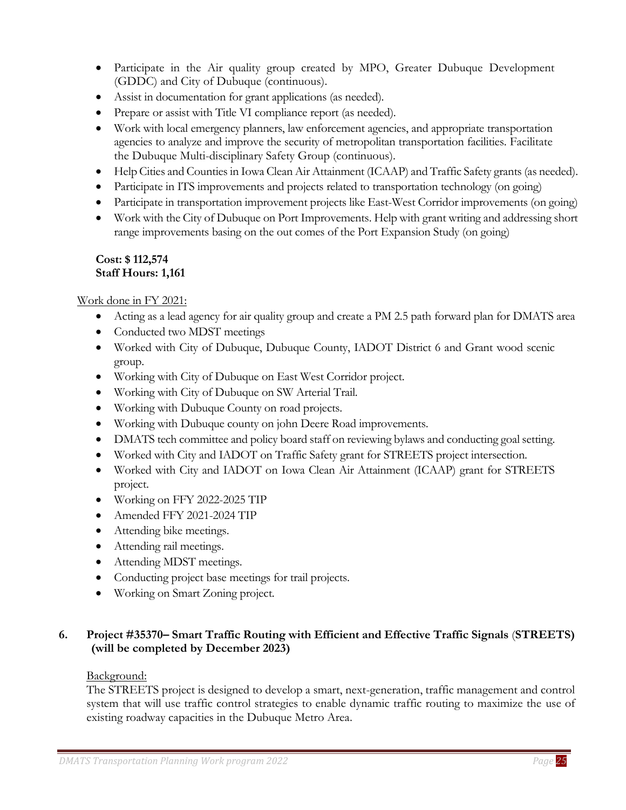- Participate in the Air quality group created by MPO, Greater Dubuque Development (GDDC) and City of Dubuque (continuous).
- Assist in documentation for grant applications (as needed).
- Prepare or assist with Title VI compliance report (as needed).
- Work with local emergency planners, law enforcement agencies, and appropriate transportation agencies to analyze and improve the security of metropolitan transportation facilities. Facilitate the Dubuque Multi-disciplinary Safety Group (continuous).
- Help Cities and Counties in Iowa Clean Air Attainment (ICAAP) and Traffic Safety grants (as needed).
- Participate in ITS improvements and projects related to transportation technology (on going)
- Participate in transportation improvement projects like East-West Corridor improvements (on going)
- Work with the City of Dubuque on Port Improvements. Help with grant writing and addressing short range improvements basing on the out comes of the Port Expansion Study (on going)

#### **Cost: \$ 112,574 Staff Hours: 1,161**

Work done in FY 2021:

- Acting as a lead agency for air quality group and create a PM 2.5 path forward plan for DMATS area
- Conducted two MDST meetings
- Worked with City of Dubuque, Dubuque County, IADOT District 6 and Grant wood scenic group.
- Working with City of Dubuque on East West Corridor project.
- Working with City of Dubuque on SW Arterial Trail.
- Working with Dubuque County on road projects.
- Working with Dubuque county on john Deere Road improvements.
- DMATS tech committee and policy board staff on reviewing bylaws and conducting goal setting.
- Worked with City and IADOT on Traffic Safety grant for STREETS project intersection.
- Worked with City and IADOT on Iowa Clean Air Attainment (ICAAP) grant for STREETS project.
- Working on FFY 2022-2025 TIP
- Amended FFY 2021-2024 TIP
- Attending bike meetings.
- Attending rail meetings.
- Attending MDST meetings.
- Conducting project base meetings for trail projects.
- Working on Smart Zoning project.

# <span id="page-24-0"></span>**6. Project #35370– Smart Traffic Routing with Efficient and Effective Traffic Signals** (**STREETS) (will be completed by December 2023)**

#### Background:

The STREETS project is designed to develop a smart, next-generation, traffic management and control system that will use traffic control strategies to enable dynamic traffic routing to maximize the use of existing roadway capacities in the Dubuque Metro Area.

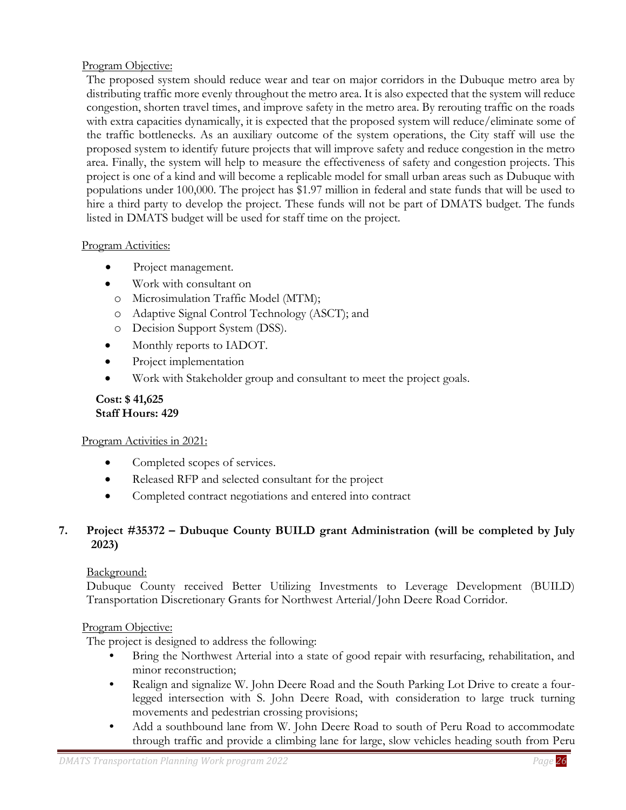# Program Objective:

The proposed system should reduce wear and tear on major corridors in the Dubuque metro area by distributing traffic more evenly throughout the metro area. It is also expected that the system will reduce congestion, shorten travel times, and improve safety in the metro area. By rerouting traffic on the roads with extra capacities dynamically, it is expected that the proposed system will reduce/eliminate some of the traffic bottlenecks. As an auxiliary outcome of the system operations, the City staff will use the proposed system to identify future projects that will improve safety and reduce congestion in the metro area. Finally, the system will help to measure the effectiveness of safety and congestion projects. This project is one of a kind and will become a replicable model for small urban areas such as Dubuque with populations under 100,000. The project has \$1.97 million in federal and state funds that will be used to hire a third party to develop the project. These funds will not be part of DMATS budget. The funds listed in DMATS budget will be used for staff time on the project.

#### Program Activities:

- Project management.
- Work with consultant on
	- o Microsimulation Traffic Model (MTM);
	- o Adaptive Signal Control Technology (ASCT); and
	- o Decision Support System (DSS).
- Monthly reports to IADOT.
- Project implementation
- Work with Stakeholder group and consultant to meet the project goals.

#### **Cost: \$ 41,625 Staff Hours: 429**

#### Program Activities in 2021:

- Completed scopes of services.
- Released RFP and selected consultant for the project
- Completed contract negotiations and entered into contract

# <span id="page-25-0"></span>**7. Project #35372 – Dubuque County BUILD grant Administration (will be completed by July 2023)**

# Background:

Dubuque County received Better Utilizing Investments to Leverage Development (BUILD) Transportation Discretionary Grants for Northwest Arterial/John Deere Road Corridor.

# Program Objective:

The project is designed to address the following:

- **•** Bring the Northwest Arterial into a state of good repair with resurfacing, rehabilitation, and minor reconstruction;
- Realign and signalize W. John Deere Road and the South Parking Lot Drive to create a fourlegged intersection with S. John Deere Road, with consideration to large truck turning movements and pedestrian crossing provisions;
- **•** Add a southbound lane from W. John Deere Road to south of Peru Road to accommodate through traffic and provide a climbing lane for large, slow vehicles heading south from Peru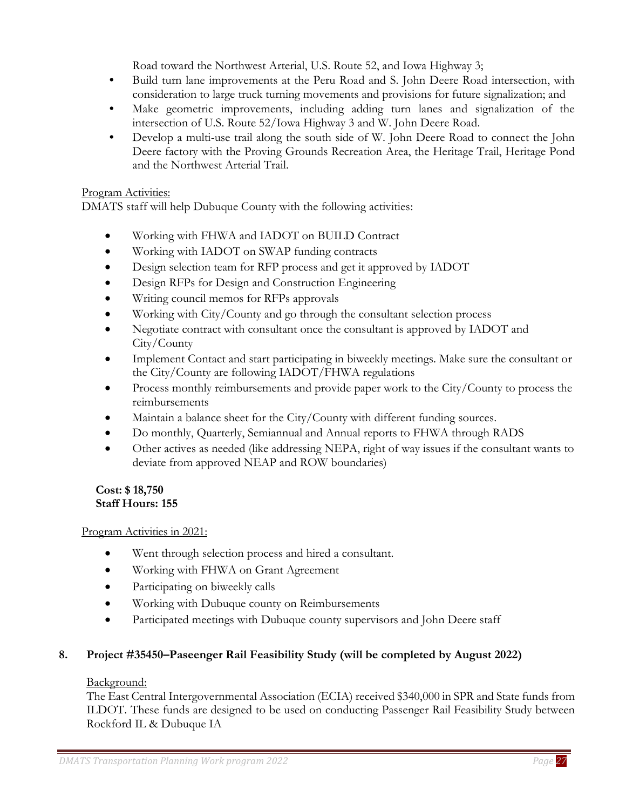Road toward the Northwest Arterial, U.S. Route 52, and Iowa Highway 3;

- **•** Build turn lane improvements at the Peru Road and S. John Deere Road intersection, with consideration to large truck turning movements and provisions for future signalization; and
- **•** Make geometric improvements, including adding turn lanes and signalization of the intersection of U.S. Route 52/Iowa Highway 3 and W. John Deere Road.
- **•** Develop a multi-use trail along the south side of W. John Deere Road to connect the John Deere factory with the Proving Grounds Recreation Area, the Heritage Trail, Heritage Pond and the Northwest Arterial Trail.

#### Program Activities:

DMATS staff will help Dubuque County with the following activities:

- Working with FHWA and IADOT on BUILD Contract
- Working with IADOT on SWAP funding contracts
- Design selection team for RFP process and get it approved by IADOT
- Design RFPs for Design and Construction Engineering
- Writing council memos for RFPs approvals
- Working with City/County and go through the consultant selection process
- Negotiate contract with consultant once the consultant is approved by IADOT and City/County
- Implement Contact and start participating in biweekly meetings. Make sure the consultant or the City/County are following IADOT/FHWA regulations
- Process monthly reimbursements and provide paper work to the City/County to process the reimbursements
- Maintain a balance sheet for the City/County with different funding sources.
- Do monthly, Quarterly, Semiannual and Annual reports to FHWA through RADS
- Other actives as needed (like addressing NEPA, right of way issues if the consultant wants to deviate from approved NEAP and ROW boundaries)

# **Cost: \$ 18,750 Staff Hours: 155**

# Program Activities in 2021:

- Went through selection process and hired a consultant.
- Working with FHWA on Grant Agreement
- Participating on biweekly calls
- Working with Dubuque county on Reimbursements
- Participated meetings with Dubuque county supervisors and John Deere staff

# <span id="page-26-0"></span>**8. Project #35450–Paseenger Rail Feasibility Study (will be completed by August 2022)**

#### Background:

The East Central Intergovernmental Association (ECIA) received \$340,000 in SPR and State funds from ILDOT. These funds are designed to be used on conducting Passenger Rail Feasibility Study between Rockford IL & Dubuque IA

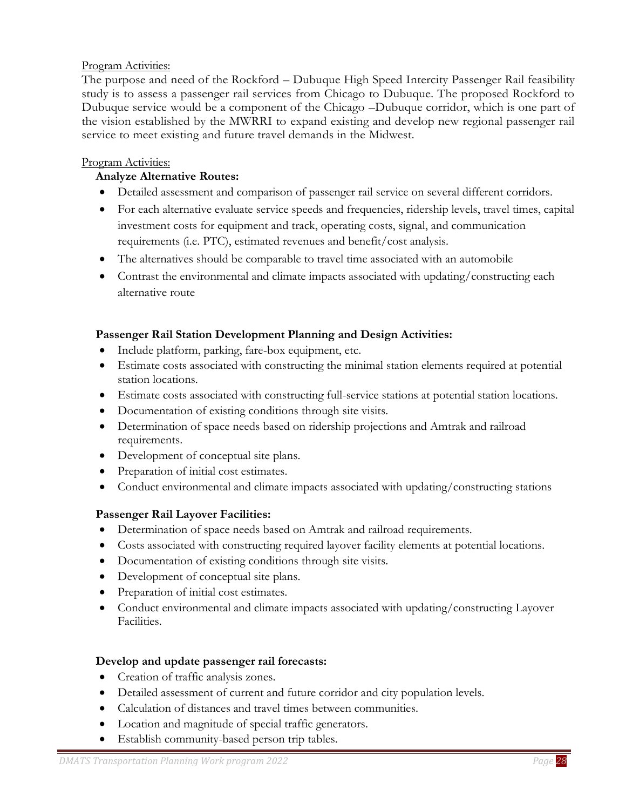#### Program Activities:

The purpose and need of the Rockford – Dubuque High Speed Intercity Passenger Rail feasibility study is to assess a passenger rail services from Chicago to Dubuque. The proposed Rockford to Dubuque service would be a component of the Chicago –Dubuque corridor, which is one part of the vision established by the MWRRI to expand existing and develop new regional passenger rail service to meet existing and future travel demands in the Midwest.

#### Program Activities:

## **Analyze Alternative Routes:**

- Detailed assessment and comparison of passenger rail service on several different corridors.
- For each alternative evaluate service speeds and frequencies, ridership levels, travel times, capital investment costs for equipment and track, operating costs, signal, and communication requirements (i.e. PTC), estimated revenues and benefit/cost analysis.
- The alternatives should be comparable to travel time associated with an automobile
- Contrast the environmental and climate impacts associated with updating/constructing each alternative route

#### **Passenger Rail Station Development Planning and Design Activities:**

- Include platform, parking, fare-box equipment, etc.
- Estimate costs associated with constructing the minimal station elements required at potential station locations.
- Estimate costs associated with constructing full-service stations at potential station locations.
- Documentation of existing conditions through site visits.
- Determination of space needs based on ridership projections and Amtrak and railroad requirements.
- Development of conceptual site plans.
- Preparation of initial cost estimates.
- Conduct environmental and climate impacts associated with updating/constructing stations

#### **Passenger Rail Layover Facilities:**

- Determination of space needs based on Amtrak and railroad requirements.
- Costs associated with constructing required layover facility elements at potential locations.
- Documentation of existing conditions through site visits.
- Development of conceptual site plans.
- Preparation of initial cost estimates.
- Conduct environmental and climate impacts associated with updating/constructing Layover Facilities.

#### **Develop and update passenger rail forecasts:**

- Creation of traffic analysis zones.
- Detailed assessment of current and future corridor and city population levels.
- Calculation of distances and travel times between communities.
- Location and magnitude of special traffic generators.
- Establish community-based person trip tables.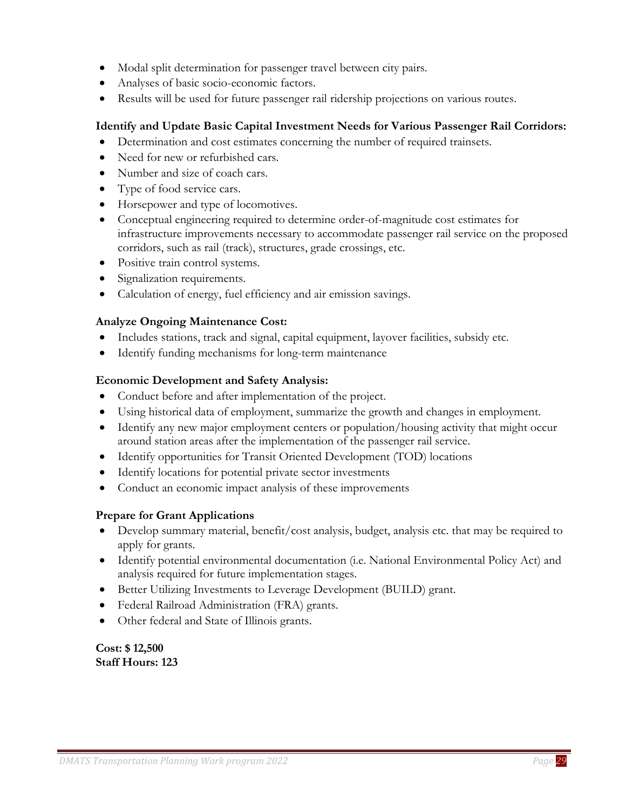- Modal split determination for passenger travel between city pairs.
- Analyses of basic socio-economic factors.
- Results will be used for future passenger rail ridership projections on various routes.

#### **Identify and Update Basic Capital Investment Needs for Various Passenger Rail Corridors:**

- Determination and cost estimates concerning the number of required trainsets.
- Need for new or refurbished cars.
- Number and size of coach cars.
- Type of food service cars.
- Horsepower and type of locomotives.
- Conceptual engineering required to determine order-of-magnitude cost estimates for infrastructure improvements necessary to accommodate passenger rail service on the proposed corridors, such as rail (track), structures, grade crossings, etc.
- Positive train control systems.
- Signalization requirements.
- Calculation of energy, fuel efficiency and air emission savings.

#### **Analyze Ongoing Maintenance Cost:**

- Includes stations, track and signal, capital equipment, layover facilities, subsidy etc.
- Identify funding mechanisms for long-term maintenance

#### **Economic Development and Safety Analysis:**

- Conduct before and after implementation of the project.
- Using historical data of employment, summarize the growth and changes in employment.
- Identify any new major employment centers or population/housing activity that might occur around station areas after the implementation of the passenger rail service.
- Identify opportunities for Transit Oriented Development (TOD) locations
- Identify locations for potential private sector investments
- Conduct an economic impact analysis of these improvements

#### **Prepare for Grant Applications**

- Develop summary material, benefit/cost analysis, budget, analysis etc. that may be required to apply for grants.
- Identify potential environmental documentation (i.e. National Environmental Policy Act) and analysis required for future implementation stages.
- Better Utilizing Investments to Leverage Development (BUILD) grant.
- Federal Railroad Administration (FRA) grants.
- Other federal and State of Illinois grants.

**Cost: \$ 12,500 Staff Hours: 123**

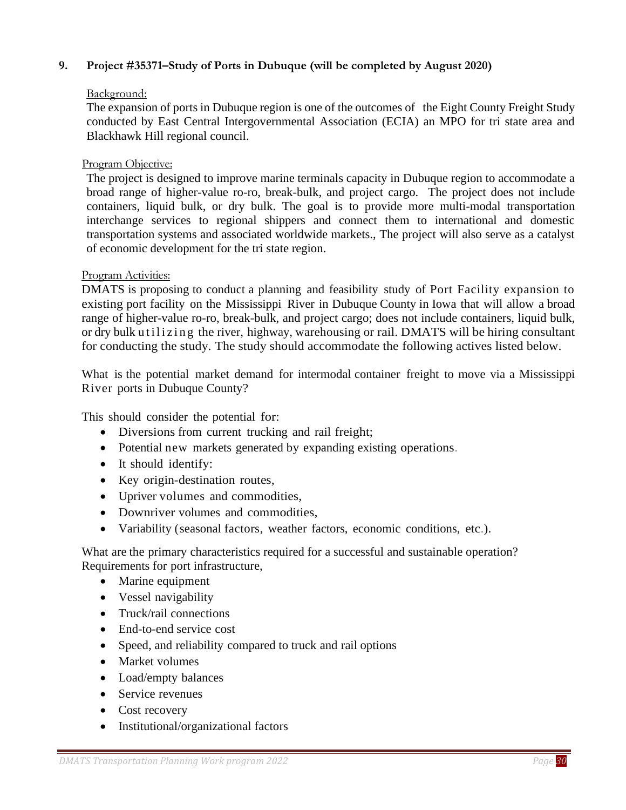#### <span id="page-29-0"></span>**9. Project #35371–Study of Ports in Dubuque (will be completed by August 2020)**

#### Background:

The expansion of ports in Dubuque region is one of the outcomes of the Eight County Freight Study conducted by East Central Intergovernmental Association (ECIA) an MPO for tri state area and Blackhawk Hill regional council.

#### Program Objective:

The project is designed to improve marine terminals capacity in Dubuque region to accommodate a broad range of higher-value ro-ro, break-bulk, and project cargo. The project does not include containers, liquid bulk, or dry bulk. The goal is to provide more multi-modal transportation interchange services to regional shippers and connect them to international and domestic transportation systems and associated worldwide markets., The project will also serve as a catalyst of economic development for the tri state region.

#### Program Activities:

DMATS is proposing to conduct a planning and feasibility study of Port Facility expansion to existing port facility on the Mississippi River in Dubuque County in Iowa that will allow a broad range of higher-value ro-ro, break-bulk, and project cargo; does not include containers, liquid bulk, or dry bulk u tilizing the river, highway, warehousing or rail. DMATS will be hiring consultant for conducting the study. The study should accommodate the following actives listed below.

What is the potential market demand for intermodal container freight to move via a Mississippi River ports in Dubuque County?

This should consider the potential for:

- Diversions from current trucking and rail freight;
- Potential new markets generated by expanding existing operations.
- It should identify:
- Key origin-destination routes,
- Upriver volumes and commodities,
- Downriver volumes and commodities,
- Variability (seasonal factors, weather factors, economic conditions, etc.).

What are the primary characteristics required for a successful and sustainable operation? Requirements for port infrastructure,

- Marine equipment
- Vessel navigability
- Truck/rail connections
- End-to-end service cost
- Speed, and reliability compared to truck and rail options
- Market volumes
- Load/empty balances
- Service revenues
- Cost recovery
- Institutional/organizational factors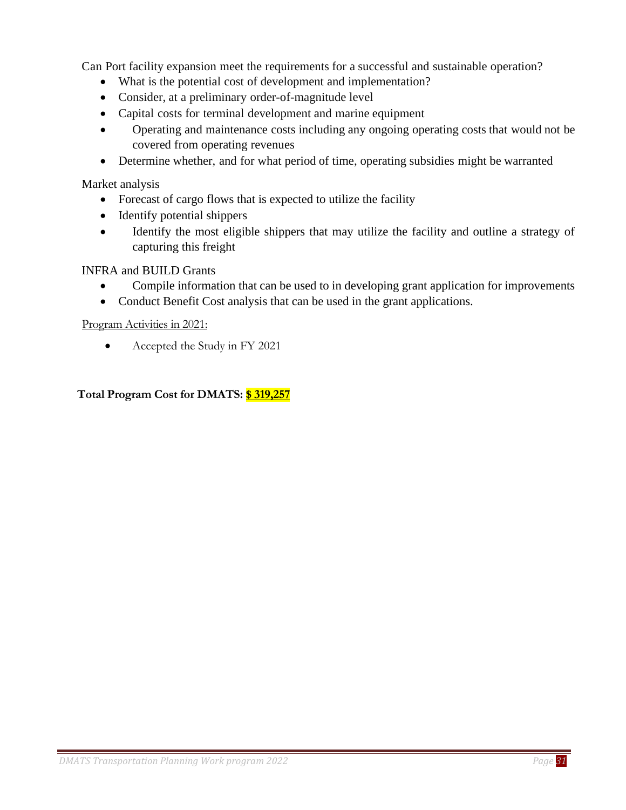Can Port facility expansion meet the requirements for a successful and sustainable operation?

- What is the potential cost of development and implementation?
- Consider, at a preliminary order-of-magnitude level
- Capital costs for terminal development and marine equipment
- Operating and maintenance costs including any ongoing operating costs that would not be covered from operating revenues
- Determine whether, and for what period of time, operating subsidies might be warranted

Market analysis

- Forecast of cargo flows that is expected to utilize the facility
- Identify potential shippers
- Identify the most eligible shippers that may utilize the facility and outline a strategy of capturing this freight

INFRA and BUILD Grants

- Compile information that can be used to in developing grant application for improvements
- Conduct Benefit Cost analysis that can be used in the grant applications.

Program Activities in 2021:

• Accepted the Study in FY 2021

**Total Program Cost for DMATS: \$ 319,257**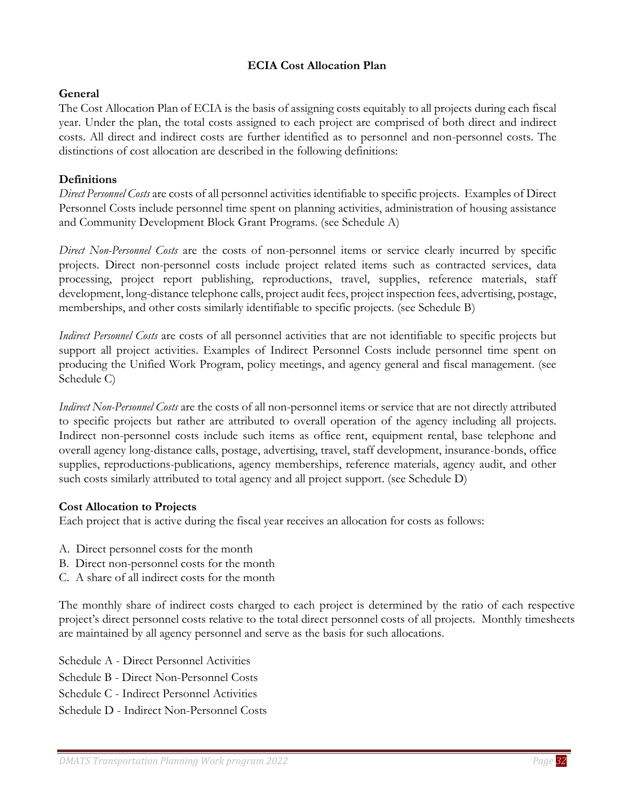## **ECIA Cost Allocation Plan**

#### <span id="page-31-0"></span>**General**

The Cost Allocation Plan of ECIA is the basis of assigning costs equitably to all projects during each fiscal year. Under the plan, the total costs assigned to each project are comprised of both direct and indirect costs. All direct and indirect costs are further identified as to personnel and non-personnel costs. The distinctions of cost allocation are described in the following definitions:

#### **Definitions**

*Direct Personnel Costs* are costs of all personnel activities identifiable to specific projects. Examples of Direct Personnel Costs include personnel time spent on planning activities, administration of housing assistance and Community Development Block Grant Programs. (see Schedule A)

*Direct Non-Personnel Costs* are the costs of non-personnel items or service clearly incurred by specific projects. Direct non-personnel costs include project related items such as contracted services, data processing, project report publishing, reproductions, travel, supplies, reference materials, staff development, long-distance telephone calls, project audit fees, project inspection fees, advertising, postage, memberships, and other costs similarly identifiable to specific projects. (see Schedule B)

*Indirect Personnel Costs* are costs of all personnel activities that are not identifiable to specific projects but support all project activities. Examples of Indirect Personnel Costs include personnel time spent on producing the Unified Work Program, policy meetings, and agency general and fiscal management. (see Schedule C)

*Indirect Non-Personnel Costs* are the costs of all non-personnel items or service that are not directly attributed to specific projects but rather are attributed to overall operation of the agency including all projects. Indirect non-personnel costs include such items as office rent, equipment rental, base telephone and overall agency long-distance calls, postage, advertising, travel, staff development, insurance-bonds, office supplies, reproductions-publications, agency memberships, reference materials, agency audit, and other such costs similarly attributed to total agency and all project support. (see Schedule D)

#### **Cost Allocation to Projects**

Each project that is active during the fiscal year receives an allocation for costs as follows:

- A. Direct personnel costs for the month
- B. Direct non-personnel costs for the month
- C. A share of all indirect costs for the month

The monthly share of indirect costs charged to each project is determined by the ratio of each respective project's direct personnel costs relative to the total direct personnel costs of all projects. Monthly timesheets are maintained by all agency personnel and serve as the basis for such allocations.

Schedule A - Direct Personnel Activities Schedule B - Direct Non-Personnel Costs Schedule C - Indirect Personnel Activities Schedule D - Indirect Non-Personnel Costs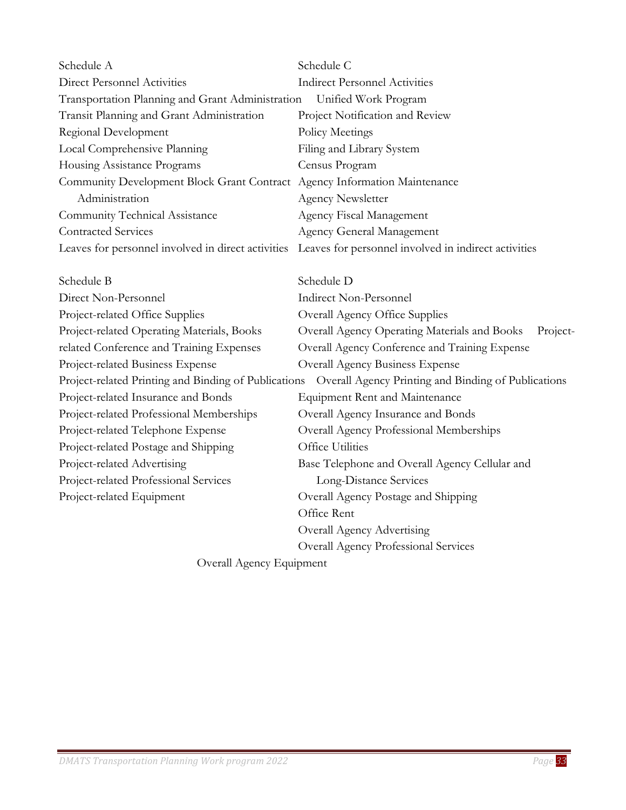| Schedule A                                         | Schedule C                                           |
|----------------------------------------------------|------------------------------------------------------|
| Direct Personnel Activities                        | <b>Indirect Personnel Activities</b>                 |
| Transportation Planning and Grant Administration   | Unified Work Program                                 |
| Transit Planning and Grant Administration          | Project Notification and Review                      |
| Regional Development                               | Policy Meetings                                      |
| Local Comprehensive Planning                       | Filing and Library System                            |
| Housing Assistance Programs                        | Census Program                                       |
| <b>Community Development Block Grant Contract</b>  | Agency Information Maintenance                       |
| Administration                                     | <b>Agency Newsletter</b>                             |
| Community Technical Assistance                     | Agency Fiscal Management                             |
| <b>Contracted Services</b>                         | Agency General Management                            |
| Leaves for personnel involved in direct activities | Leaves for personnel involved in indirect activities |
| Schedule B                                         | Schedule D                                           |

| Direct Non-Personnel                                 | <b>Indirect Non-Personnel</b>                            |
|------------------------------------------------------|----------------------------------------------------------|
| Project-related Office Supplies                      | Overall Agency Office Supplies                           |
| Project-related Operating Materials, Books           | Overall Agency Operating Materials and Books<br>Project- |
| related Conference and Training Expenses             | Overall Agency Conference and Training Expense           |
| Project-related Business Expense                     | <b>Overall Agency Business Expense</b>                   |
| Project-related Printing and Binding of Publications | Overall Agency Printing and Binding of Publications      |
| Project-related Insurance and Bonds                  | <b>Equipment Rent and Maintenance</b>                    |
| Project-related Professional Memberships             | Overall Agency Insurance and Bonds                       |
| Project-related Telephone Expense                    | Overall Agency Professional Memberships                  |
| Project-related Postage and Shipping                 | <b>Office Utilities</b>                                  |
| Project-related Advertising                          | Base Telephone and Overall Agency Cellular and           |
| Project-related Professional Services                | Long-Distance Services                                   |
| Project-related Equipment                            | Overall Agency Postage and Shipping                      |
|                                                      | Office Rent                                              |
|                                                      | Overall Agency Advertising                               |
|                                                      | <b>Overall Agency Professional Services</b>              |
|                                                      |                                                          |

Overall Agency Equipment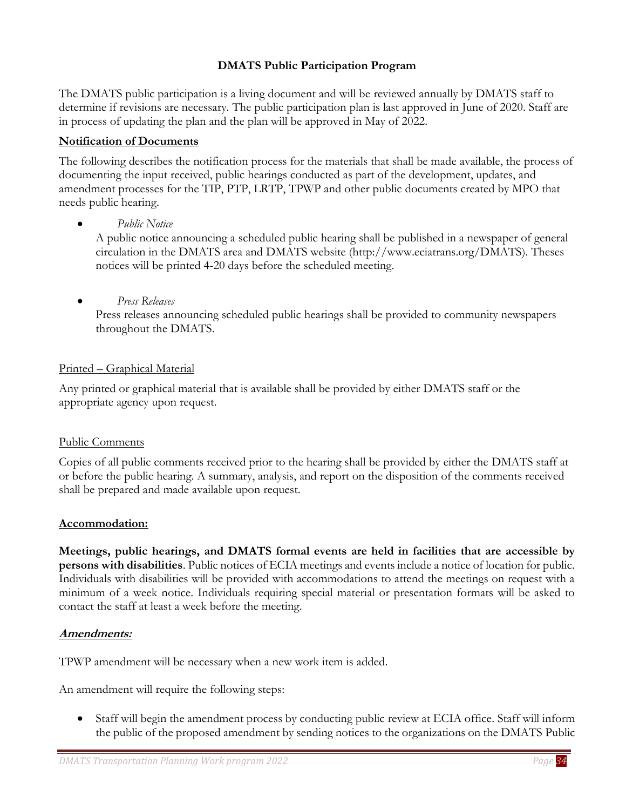# **DMATS Public Participation Program**

<span id="page-33-0"></span>The DMATS public participation is a living document and will be reviewed annually by DMATS staff to determine if revisions are necessary. The public participation plan is last approved in June of 2020. Staff are in process of updating the plan and the plan will be approved in May of 2022.

# **Notification of Documents**

The following describes the notification process for the materials that shall be made available, the process of documenting the input received, public hearings conducted as part of the development, updates, and amendment processes for the TIP, PTP, LRTP, TPWP and other public documents created by MPO that needs public hearing.

• *Public Notice* 

A public notice announcing a scheduled public hearing shall be published in a newspaper of general circulation in the DMATS area and DMATS website (http://www.eciatrans.org/DMATS). Theses notices will be printed 4-20 days before the scheduled meeting.

• *Press Releases*

Press releases announcing scheduled public hearings shall be provided to community newspapers throughout the DMATS.

# Printed – Graphical Material

Any printed or graphical material that is available shall be provided by either DMATS staff or the appropriate agency upon request.

# Public Comments

Copies of all public comments received prior to the hearing shall be provided by either the DMATS staff at or before the public hearing. A summary, analysis, and report on the disposition of the comments received shall be prepared and made available upon request.

# **Accommodation:**

**Meetings, public hearings, and DMATS formal events are held in facilities that are accessible by persons with disabilities**. Public notices of ECIA meetings and events include a notice of location for public. Individuals with disabilities will be provided with accommodations to attend the meetings on request with a minimum of a week notice. Individuals requiring special material or presentation formats will be asked to contact the staff at least a week before the meeting.

# **Amendments:**

TPWP amendment will be necessary when a new work item is added.

An amendment will require the following steps:

• Staff will begin the amendment process by conducting public review at ECIA office. Staff will inform the public of the proposed amendment by sending notices to the organizations on the DMATS Public

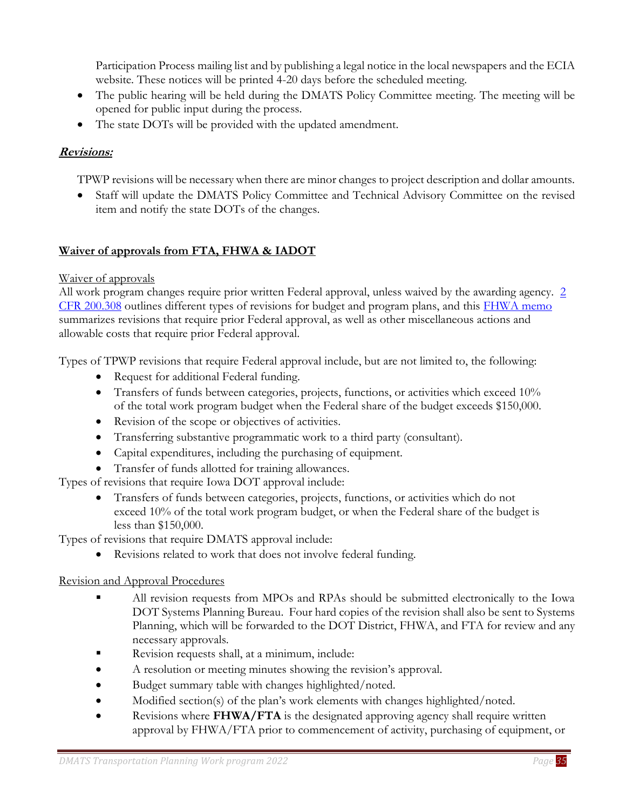Participation Process mailing list and by publishing a legal notice in the local newspapers and the ECIA website. These notices will be printed 4-20 days before the scheduled meeting.

- The public hearing will be held during the DMATS Policy Committee meeting. The meeting will be opened for public input during the process.
- The state DOTs will be provided with the updated amendment.

# **Revisions:**

TPWP revisions will be necessary when there are minor changes to project description and dollar amounts.

• Staff will update the DMATS Policy Committee and Technical Advisory Committee on the revised item and notify the state DOTs of the changes.

# **Waiver of approvals from FTA, FHWA & IADOT**

# Waiver of approvals

All work program changes require prior written Federal approval, unless waived by the awarding agency. 2 [CFR 200.308](http://www.ecfr.gov/cgi-bin/text-idx?SID=9c2969a7f4e91b5b889e358ebdab2a89&mc=true&node=se2.1.200_1308&rgn=div8) outlines different types of revisions for budget and program plans, and this [FHWA memo](http://www.fhwa.dot.gov/planning/priorapprovals.cfm) summarizes revisions that require prior Federal approval, as well as other miscellaneous actions and allowable costs that require prior Federal approval.

Types of TPWP revisions that require Federal approval include, but are not limited to, the following:

- Request for additional Federal funding.
- Transfers of funds between categories, projects, functions, or activities which exceed 10% of the total work program budget when the Federal share of the budget exceeds \$150,000.
- Revision of the scope or objectives of activities.
- Transferring substantive programmatic work to a third party (consultant).
- Capital expenditures, including the purchasing of equipment.
- Transfer of funds allotted for training allowances.

Types of revisions that require Iowa DOT approval include:

• Transfers of funds between categories, projects, functions, or activities which do not exceed 10% of the total work program budget, or when the Federal share of the budget is less than \$150,000.

Types of revisions that require DMATS approval include:

Revisions related to work that does not involve federal funding.

# Revision and Approval Procedures

- All revision requests from MPOs and RPAs should be submitted electronically to the Iowa DOT Systems Planning Bureau. Four hard copies of the revision shall also be sent to Systems Planning, which will be forwarded to the DOT District, FHWA, and FTA for review and any necessary approvals.
- Revision requests shall, at a minimum, include:
- A resolution or meeting minutes showing the revision's approval.
- Budget summary table with changes highlighted/noted.
- Modified section(s) of the plan's work elements with changes highlighted/noted.
- Revisions where **FHWA/FTA** is the designated approving agency shall require written approval by FHWA/FTA prior to commencement of activity, purchasing of equipment, or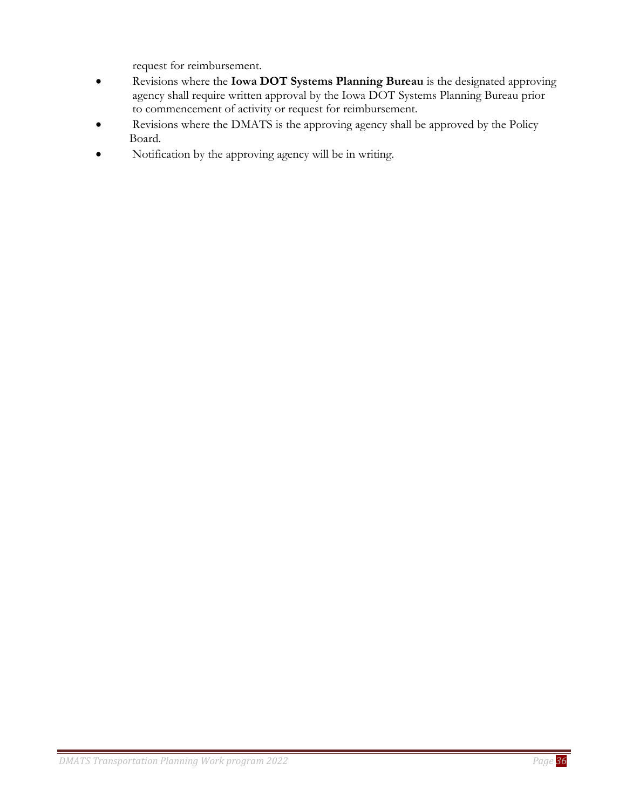request for reimbursement.

- Revisions where the **Iowa DOT Systems Planning Bureau** is the designated approving agency shall require written approval by the Iowa DOT Systems Planning Bureau prior to commencement of activity or request for reimbursement.
- Revisions where the DMATS is the approving agency shall be approved by the Policy Board.
- Notification by the approving agency will be in writing.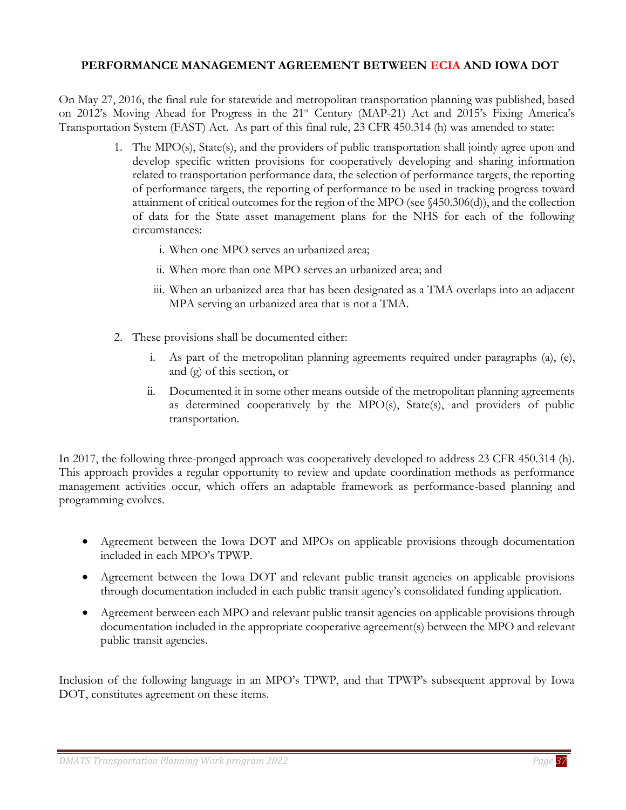## <span id="page-36-0"></span>**PERFORMANCE MANAGEMENT AGREEMENT BETWEEN ECIA AND IOWA DOT**

On May 27, 2016, the final rule for statewide and metropolitan transportation planning was published, based on 2012's Moving Ahead for Progress in the 21<sup>st</sup> Century (MAP-21) Act and 2015's Fixing America's Transportation System (FAST) Act. As part of this final rule, 23 CFR 450.314 (h) was amended to state:

- 1. The MPO(s), State(s), and the providers of public transportation shall jointly agree upon and develop specific written provisions for cooperatively developing and sharing information related to transportation performance data, the selection of performance targets, the reporting of performance targets, the reporting of performance to be used in tracking progress toward attainment of critical outcomes for the region of the MPO (see §450.306(d)), and the collection of data for the State asset management plans for the NHS for each of the following circumstances:
	- i. When one MPO serves an urbanized area;
	- ii. When more than one MPO serves an urbanized area; and
	- iii. When an urbanized area that has been designated as a TMA overlaps into an adjacent MPA serving an urbanized area that is not a TMA.
- 2. These provisions shall be documented either:
	- i. As part of the metropolitan planning agreements required under paragraphs (a), (e), and (g) of this section, or
	- ii. Documented it in some other means outside of the metropolitan planning agreements as determined cooperatively by the MPO(s), State(s), and providers of public transportation.

In 2017, the following three-pronged approach was cooperatively developed to address 23 CFR 450.314 (h). This approach provides a regular opportunity to review and update coordination methods as performance management activities occur, which offers an adaptable framework as performance-based planning and programming evolves.

- Agreement between the Iowa DOT and MPOs on applicable provisions through documentation included in each MPO's TPWP.
- Agreement between the Iowa DOT and relevant public transit agencies on applicable provisions through documentation included in each public transit agency's consolidated funding application.
- Agreement between each MPO and relevant public transit agencies on applicable provisions through documentation included in the appropriate cooperative agreement(s) between the MPO and relevant public transit agencies.

Inclusion of the following language in an MPO's TPWP, and that TPWP's subsequent approval by Iowa DOT, constitutes agreement on these items.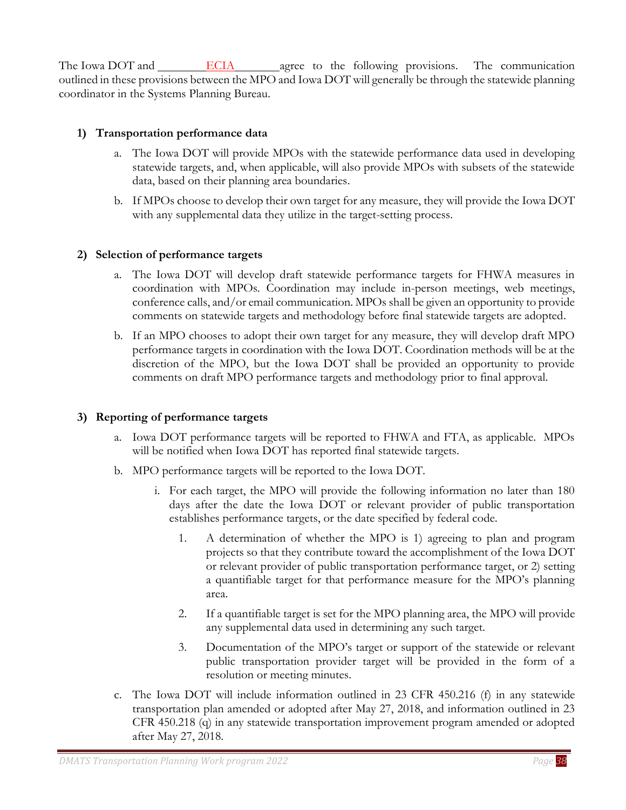The Iowa DOT and **ECIA** agree to the following provisions. The communication outlined in these provisions between the MPO and Iowa DOT will generally be through the statewide planning coordinator in the Systems Planning Bureau.

## **1) Transportation performance data**

- a. The Iowa DOT will provide MPOs with the statewide performance data used in developing statewide targets, and, when applicable, will also provide MPOs with subsets of the statewide data, based on their planning area boundaries.
- b. If MPOs choose to develop their own target for any measure, they will provide the Iowa DOT with any supplemental data they utilize in the target-setting process.

#### **2) Selection of performance targets**

- a. The Iowa DOT will develop draft statewide performance targets for FHWA measures in coordination with MPOs. Coordination may include in-person meetings, web meetings, conference calls, and/or email communication. MPOs shall be given an opportunity to provide comments on statewide targets and methodology before final statewide targets are adopted.
- b. If an MPO chooses to adopt their own target for any measure, they will develop draft MPO performance targets in coordination with the Iowa DOT. Coordination methods will be at the discretion of the MPO, but the Iowa DOT shall be provided an opportunity to provide comments on draft MPO performance targets and methodology prior to final approval.

#### **3) Reporting of performance targets**

- a. Iowa DOT performance targets will be reported to FHWA and FTA, as applicable. MPOs will be notified when Iowa DOT has reported final statewide targets.
- b. MPO performance targets will be reported to the Iowa DOT.
	- i. For each target, the MPO will provide the following information no later than 180 days after the date the Iowa DOT or relevant provider of public transportation establishes performance targets, or the date specified by federal code.
		- 1. A determination of whether the MPO is 1) agreeing to plan and program projects so that they contribute toward the accomplishment of the Iowa DOT or relevant provider of public transportation performance target, or 2) setting a quantifiable target for that performance measure for the MPO's planning area.
		- 2. If a quantifiable target is set for the MPO planning area, the MPO will provide any supplemental data used in determining any such target.
		- 3. Documentation of the MPO's target or support of the statewide or relevant public transportation provider target will be provided in the form of a resolution or meeting minutes.
- c. The Iowa DOT will include information outlined in 23 CFR 450.216 (f) in any statewide transportation plan amended or adopted after May 27, 2018, and information outlined in 23 CFR 450.218 (q) in any statewide transportation improvement program amended or adopted after May 27, 2018.

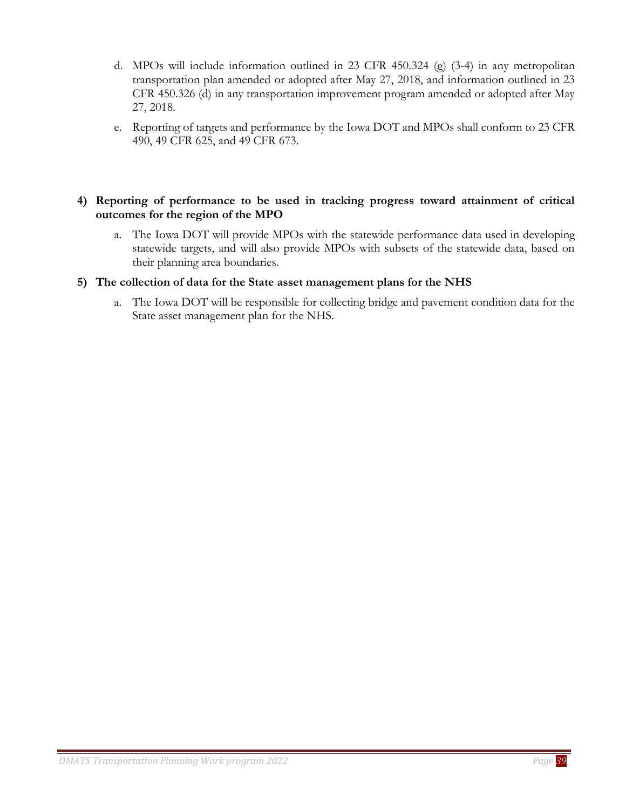- d. MPOs will include information outlined in 23 CFR 450.324 (g) (3-4) in any metropolitan transportation plan amended or adopted after May 27, 2018, and information outlined in 23 CFR 450.326 (d) in any transportation improvement program amended or adopted after May 27, 2018.
- e. Reporting of targets and performance by the Iowa DOT and MPOs shall conform to 23 CFR 490, 49 CFR 625, and 49 CFR 673.

#### **4) Reporting of performance to be used in tracking progress toward attainment of critical outcomes for the region of the MPO**

a. The Iowa DOT will provide MPOs with the statewide performance data used in developing statewide targets, and will also provide MPOs with subsets of the statewide data, based on their planning area boundaries.

#### **5) The collection of data for the State asset management plans for the NHS**

a. The Iowa DOT will be responsible for collecting bridge and pavement condition data for the State asset management plan for the NHS.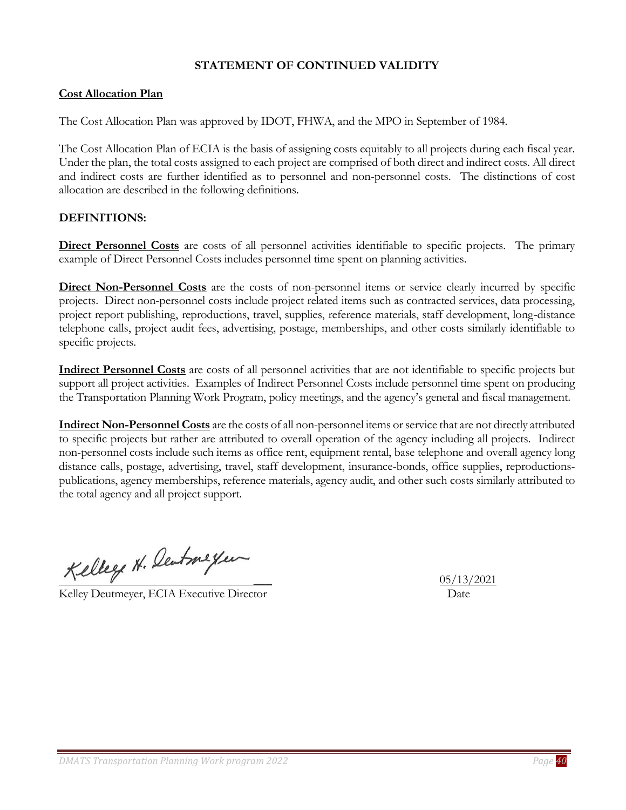# **STATEMENT OF CONTINUED VALIDITY**

#### <span id="page-39-0"></span>**Cost Allocation Plan**

The Cost Allocation Plan was approved by IDOT, FHWA, and the MPO in September of 1984.

The Cost Allocation Plan of ECIA is the basis of assigning costs equitably to all projects during each fiscal year. Under the plan, the total costs assigned to each project are comprised of both direct and indirect costs. All direct and indirect costs are further identified as to personnel and non-personnel costs. The distinctions of cost allocation are described in the following definitions.

#### **DEFINITIONS:**

**Direct Personnel Costs** are costs of all personnel activities identifiable to specific projects. The primary example of Direct Personnel Costs includes personnel time spent on planning activities.

**Direct Non-Personnel Costs** are the costs of non-personnel items or service clearly incurred by specific projects. Direct non-personnel costs include project related items such as contracted services, data processing, project report publishing, reproductions, travel, supplies, reference materials, staff development, long-distance telephone calls, project audit fees, advertising, postage, memberships, and other costs similarly identifiable to specific projects.

**Indirect Personnel Costs** are costs of all personnel activities that are not identifiable to specific projects but support all project activities. Examples of Indirect Personnel Costs include personnel time spent on producing the Transportation Planning Work Program, policy meetings, and the agency's general and fiscal management.

**Indirect Non-Personnel Costs** are the costs of all non-personnel items or service that are not directly attributed to specific projects but rather are attributed to overall operation of the agency including all projects. Indirect non-personnel costs include such items as office rent, equipment rental, base telephone and overall agency long distance calls, postage, advertising, travel, staff development, insurance-bonds, office supplies, reproductionspublications, agency memberships, reference materials, agency audit, and other such costs similarly attributed to the total agency and all project support.

Kelley H. Deutmeyer

Kelley Deutmeyer, ECIA Executive Director Date

\_\_\_ 05/13/2021

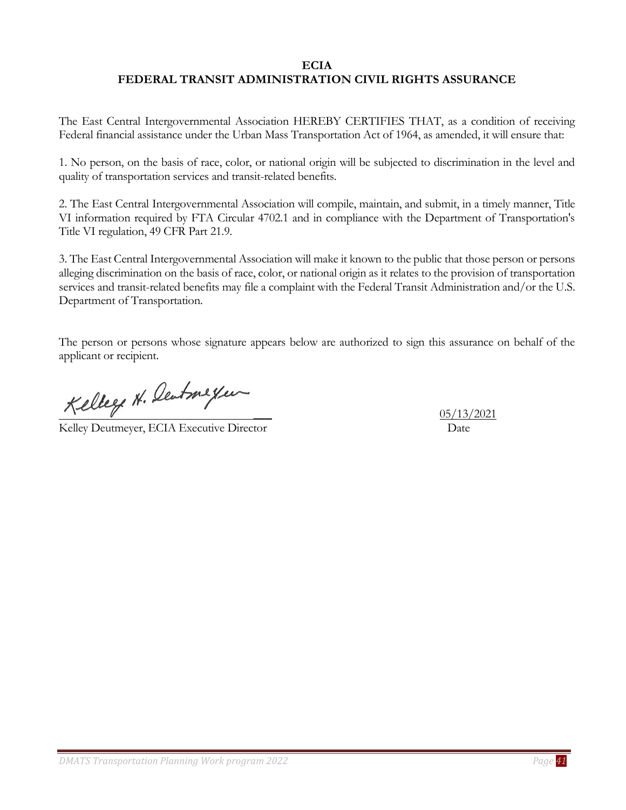#### **ECIA FEDERAL TRANSIT ADMINISTRATION CIVIL RIGHTS ASSURANCE**

<span id="page-40-0"></span>The East Central Intergovernmental Association HEREBY CERTIFIES THAT, as a condition of receiving Federal financial assistance under the Urban Mass Transportation Act of 1964, as amended, it will ensure that:

1. No person, on the basis of race, color, or national origin will be subjected to discrimination in the level and quality of transportation services and transit-related benefits.

2. The East Central Intergovernmental Association will compile, maintain, and submit, in a timely manner, Title VI information required by FTA Circular 4702.1 and in compliance with the Department of Transportation's Title VI regulation, 49 CFR Part 21.9.

3. The East Central Intergovernmental Association will make it known to the public that those person or persons alleging discrimination on the basis of race, color, or national origin as it relates to the provision of transportation services and transit-related benefits may file a complaint with the Federal Transit Administration and/or the U.S. Department of Transportation.

The person or persons whose signature appears below are authorized to sign this assurance on behalf of the applicant or recipient.

Kelley H. Deutmeyer

Kelley Deutmeyer, ECIA Executive Director Date

\_\_\_ 05/13/2021

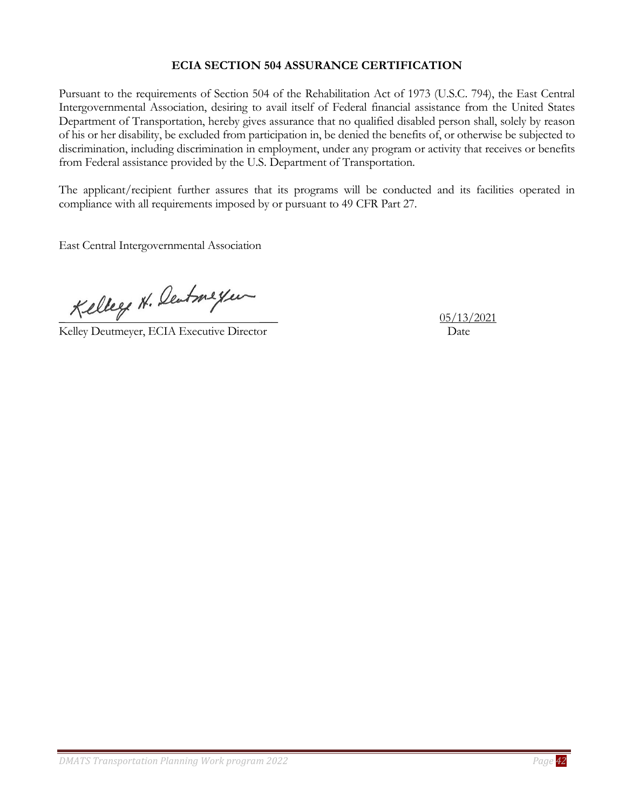# **ECIA SECTION 504 ASSURANCE CERTIFICATION**

<span id="page-41-0"></span>Pursuant to the requirements of Section 504 of the Rehabilitation Act of 1973 (U.S.C. 794), the East Central Intergovernmental Association, desiring to avail itself of Federal financial assistance from the United States Department of Transportation, hereby gives assurance that no qualified disabled person shall, solely by reason of his or her disability, be excluded from participation in, be denied the benefits of, or otherwise be subjected to discrimination, including discrimination in employment, under any program or activity that receives or benefits from Federal assistance provided by the U.S. Department of Transportation.

The applicant/recipient further assures that its programs will be conducted and its facilities operated in compliance with all requirements imposed by or pursuant to 49 CFR Part 27.

East Central Intergovernmental Association

Kelley H. Centmeyer

Kelley Deutmeyer, ECIA Executive Director Date

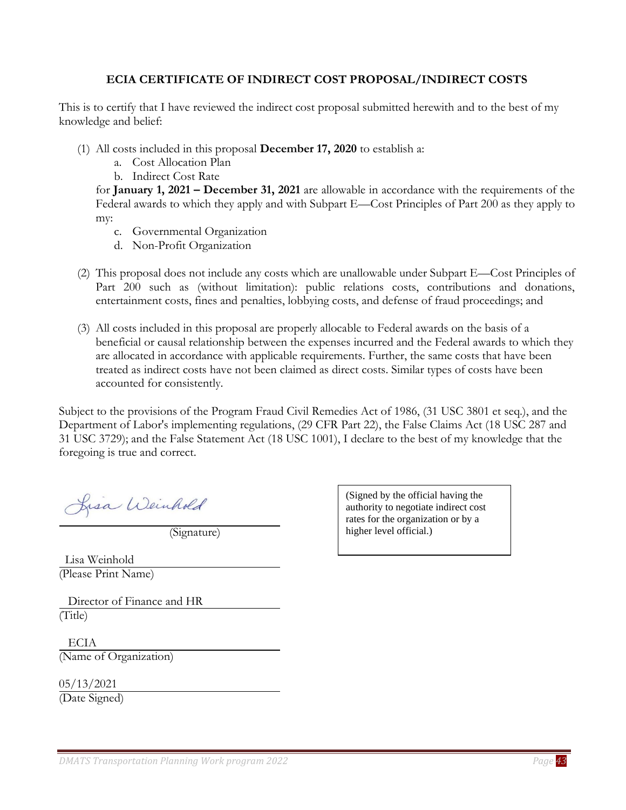#### **ECIA CERTIFICATE OF INDIRECT COST PROPOSAL/INDIRECT COSTS**

<span id="page-42-0"></span>This is to certify that I have reviewed the indirect cost proposal submitted herewith and to the best of my knowledge and belief:

- (1) All costs included in this proposal **December 17, 2020** to establish a:
	- a. Cost Allocation Plan
	- b. Indirect Cost Rate

for **January 1, 2021 – December 31, 2021** are allowable in accordance with the requirements of the Federal awards to which they apply and with Subpart E—Cost Principles of Part 200 as they apply to my:

- c. Governmental Organization
- d. Non-Profit Organization
- (2) This proposal does not include any costs which are unallowable under Subpart E—Cost Principles of Part 200 such as (without limitation): public relations costs, contributions and donations, entertainment costs, fines and penalties, lobbying costs, and defense of fraud proceedings; and
- (3) All costs included in this proposal are properly allocable to Federal awards on the basis of a beneficial or causal relationship between the expenses incurred and the Federal awards to which they are allocated in accordance with applicable requirements. Further, the same costs that have been treated as indirect costs have not been claimed as direct costs. Similar types of costs have been accounted for consistently.

Subject to the provisions of the Program Fraud Civil Remedies Act of 1986, (31 USC 3801 et seq.), and the Department of Labor's implementing regulations, (29 CFR Part 22), the False Claims Act (18 USC 287 and 31 USC 3729); and the False Statement Act (18 USC 1001), I declare to the best of my knowledge that the foregoing is true and correct.

Lisa Weinhold

(Signature)

 Lisa Weinhold (Please Print Name)

 Director of Finance and HR (Title)

 ECIA (Name of Organization)

05/13/2021 (Date Signed)

(Signed by the official having the authority to negotiate indirect cost rates for the organization or by a higher level official.)